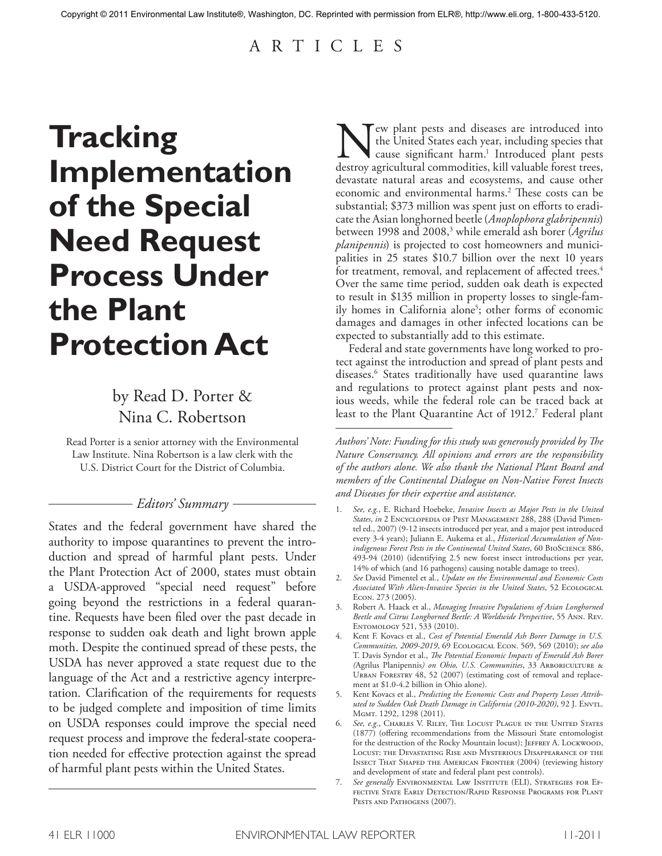# A R T I C L E S

# **Tracking Implementation of the Special Need Request Process Under the Plant Protection Act**

# by Read D. Porter & Nina C. Robertson

Read Porter is a senior attorney with the Environmental Law Institute. Nina Robertson is a law clerk with the U.S. District Court for the District of Columbia.

# *Editors' Summary*

States and the federal government have shared the authority to impose quarantines to prevent the introduction and spread of harmful plant pests. Under the Plant Protection Act of 2000, states must obtain a USDA-approved "special need request" before going beyond the restrictions in a federal quarantine. Requests have been filed over the past decade in response to sudden oak death and light brown apple moth. Despite the continued spread of these pests, the USDA has never approved a state request due to the language of the Act and a restrictive agency interpretation. Clarification of the requirements for requests to be judged complete and imposition of time limits on USDA responses could improve the special need request process and improve the federal-state cooperation needed for effective protection against the spread of harmful plant pests within the United States.

New plant pests and diseases are introduced into<br>the United States each year, including species that<br>destroy agricultural commodities, kill valuable forest trees, the United States each year, including species that cause significant harm. <sup>1</sup> Introduced plant pests destroy agricultural commodities, kill valuable forest trees, devastate natural areas and ecosystems, and cause other economic and environmental harms. <sup>2</sup> These costs can be substantial; \$373 million was spent just on efforts to eradicatethe Asian longhorned beetle(*Anoplophora glabripennis*) between 1998 and 2008,3 while emerald ash borer (*Agrilus planipennis*) is projected to cost homeowners and municipalities in 25 states \$10.7 billion over the next 10 years for treatment, removal, and replacement of affected trees. 4 Over the same time period, sudden oak death is expected to result in \$135 million in property losses to single-family homes in California alone<sup>5</sup>; other forms of economic damages and damages in other infected locations can be expected to substantially add to this estimate.

Federal and state governments have long worked to protect against the introduction and spread of plant pests and diseases. <sup>6</sup> States traditionally have used quarantine laws and regulations to protect against plant pests and noxious weeds, while the federal role can be traced back at least to the Plant Quarantine Act of 1912. <sup>7</sup> Federal plant

*Authors' Note: Funding for this study was generously provided by The Nature Conservancy. All opinions and errors are the responsibility of the authors alone. We also thank the National Plant Board and members of the Continental Dialogue on Non-Native Forest Insects and Diseases for their expertise and assistance.*

- 1. *See, e.g.*, E. Richard Hoebeke, *Invasive Insects as Major Pests in the United States*, *in* 2 Encyclopedia of Pest Management 288, 288 (David Pimentel ed., 2007) (9-12 insects introduced per year, and a major pest introduced every 3-4 years); Juliann E. Aukema et al., *Historical Accumulation of Nonindigenous Forest Pests in the Continental United States*, 60 BioScience 886, 493-94 (2010) (identifying 2.5 new forest insect introductions per year, 14% of which (and 16 pathogens) causing notable damage to trees).
- 2. *See* David Pimentel et al., *Update on the Environmental and Economic Costs Associated With Alien-Invasive Species in the United States*, 52 Ecological Econ. 273 (2005).
- 3. Robert A. Haack et al., *Managing Invasive Populations of Asian Longhorned Beetle and Citrus Longhorned Beetle: A Worldwide Perspective*, 55 Ann. Rev. ENTOMOLOGY 521, 533 (2010).
- 4. Kent F. Kovacs et al., *Cost of Potential Emerald Ash Borer Damage in U.S. Communities, 2009-2019*, 69 Ecological Econ. 569, 569 (2010); *see also* T. Davis Syndor et al., *The Potential Economic Impacts of Emerald Ash Borer (*Agrilus Planipennis*) on Ohio, U.S. Communities*, 33 Arboriculture & URBAN FORESTRY 48, 52 (2007) (estimating cost of removal and replacement at \$1.0-4.2 billion in Ohio alone).
- 5. Kent Kovacs et al., *Predicting the Economic Costs and Property Losses Attributed to Sudden Oak Death Damage in California (2010-2020)*, 92 J. Envtl. Mgmt. 1292, 1298 (2011).
- See, e.g., Charles V. Riley, The Locust Plague in the United States (1877) (offering recommendations from the Missouri State entomologist for the destruction of the Rocky Mountain locust); JEFFREY A. LOCKWOOD, Locust: the Devastating Rise and Mysterious Disappearance of the Insect That Shaped the American Frontier (2004) (reviewing history and development of state and federal plant pest controls).
- 7. *See generally* Environmental Law Institute (ELI), Strategies for Effective State Early Detection/Rapid Response Programs for Plant Pests and Pathogens (2007).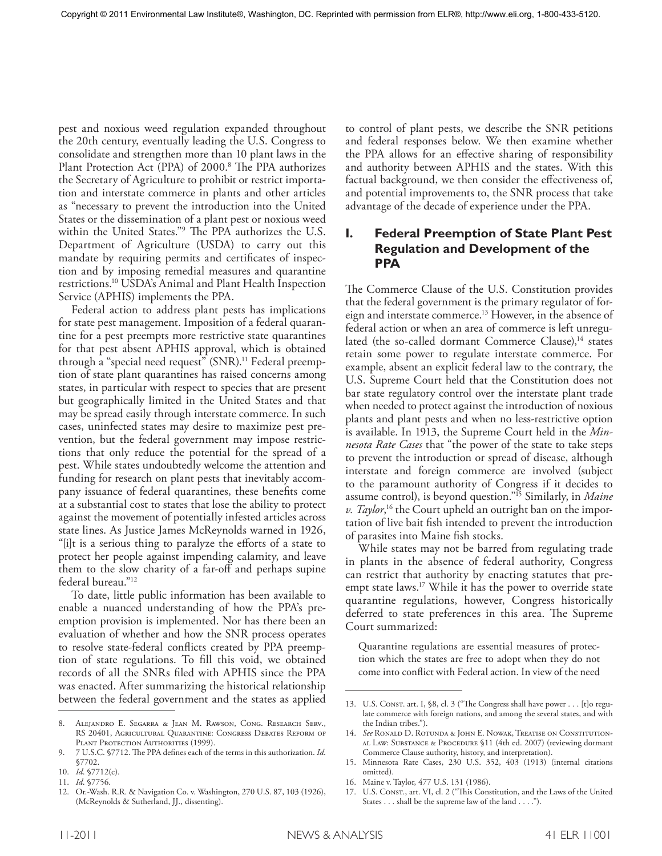pest and noxious weed regulation expanded throughout the 20th century, eventually leading the U.S. Congress to consolidate and strengthen more than 10 plant laws in the Plant Protection Act (PPA) of 2000. <sup>8</sup> The PPA authorizes the Secretary of Agriculture to prohibit or restrict importation and interstate commerce in plants and other articles as "necessary to prevent the introduction into the United States or the dissemination of a plant pest or noxious weed within the United States."9 The PPA authorizes the U.S. Department of Agriculture (USDA) to carry out this mandate by requiring permits and certificates of inspection and by imposing remedial measures and quarantine restrictions. <sup>10</sup> USDA's Animal and Plant Health Inspection Service (APHIS) implements the PPA.

Federal action to address plant pests has implications for state pest management. Imposition of a federal quarantine for a pest preempts more restrictive state quarantines for that pest absent APHIS approval, which is obtained through a "special need request" (SNR). <sup>11</sup> Federal preemption of state plant quarantines has raised concerns among states, in particular with respect to species that are present but geographically limited in the United States and that may be spread easily through interstate commerce. In such cases, uninfected states may desire to maximize pest prevention, but the federal government may impose restrictions that only reduce the potential for the spread of a pest. While states undoubtedly welcome the attention and funding for research on plant pests that inevitably accompany issuance of federal quarantines, these benefits come at a substantial cost to states that lose the ability to protect against the movement of potentially infested articles across state lines. As Justice James McReynolds warned in 1926, "[i]t is a serious thing to paralyze the efforts of a state to protect her people against impending calamity, and leave them to the slow charity of a far-off and perhaps supine federal bureau."12

To date, little public information has been available to enable a nuanced understanding of how the PPA's preemption provision is implemented. Nor has there been an evaluation of whether and how the SNR process operates to resolve state-federal conflicts created by PPA preemption of state regulations. To fill this void, we obtained records of all the SNRs filed with APHIS since the PPA was enacted. After summarizing the historical relationship between the federal government and the states as applied

to control of plant pests, we describe the SNR petitions and federal responses below. We then examine whether the PPA allows for an effective sharing of responsibility and authority between APHIS and the states. With this factual background, we then consider the effectiveness of, and potential improvements to, the SNR process that take advantage of the decade of experience under the PPA.

# **I. Federal Preemption of State Plant Pest Regulation and Development of the PPA**

The Commerce Clause of the U.S. Constitution provides that the federal government is the primary regulator of foreign and interstate commerce. <sup>13</sup> However, in the absence of federal action or when an area of commerce is left unregulated (the so-called dormant Commerce Clause), $^{14}$  states retain some power to regulate interstate commerce. For example, absent an explicit federal law to the contrary, the U.S. Supreme Court held that the Constitution does not bar state regulatory control over the interstate plant trade when needed to protect against the introduction of noxious plants and plant pests and when no less-restrictive option is available. In 1913, the Supreme Court held in the *Minnesota Rate Cases* that "the power of the state to take steps to prevent the introduction or spread of disease, although interstate and foreign commerce are involved (subject to the paramount authority of Congress if it decides to assume control), is beyond question."15 Similarly, in *Maine v. Taylor*, <sup>16</sup> the Court upheld an outright ban on the importation of live bait fish intended to prevent the introduction of parasites into Maine fish stocks.

While states may not be barred from regulating trade in plants in the absence of federal authority, Congress can restrict that authority by enacting statutes that preempt state laws. <sup>17</sup> While it has the power to override state quarantine regulations, however, Congress historically deferred to state preferences in this area. The Supreme Court summarized:

Quarantine regulations are essential measures of protection which the states are free to adopt when they do not come into conflict with Federal action. In view of the need

<sup>8.</sup> Alejandro E. Segarra & Jean M. Rawson, Cong. Research Serv., RS 20401, Agricultural Quarantine: Congress Debates Reform of PLANT PROTECTION AUTHORITIES (1999).

<sup>9. 7</sup> U.S.C. §7712. The PPA defines each of the terms in this authorization. *Id*. §7702.

<sup>10.</sup> *Id*. §7712(c).

<sup>11.</sup> *Id*. §7756.

<sup>12.</sup> Or.-Wash. R.R. & Navigation Co. v. Washington, 270 U.S. 87, 103 (1926), (McReynolds & Sutherland, JJ., dissenting).

<sup>13.</sup> U.S. Const. art. I, §8, cl. 3 ("The Congress shall have power . . . [t]o regulate commerce with foreign nations, and among the several states, and with the Indian tribes.").

<sup>14.</sup> *See* Ronald D. Rotunda & John E. Nowak, Treatise on Constitution-AL LAW: SUBSTANCE & PROCEDURE §11 (4th ed. 2007) (reviewing dormant Commerce Clause authority, history, and interpretation).

<sup>15.</sup> Minnesota Rate Cases, 230 U.S. 352, 403 (1913) (internal citations omitted).

<sup>16.</sup> Maine v. Taylor, 477 U.S. 131 (1986).

<sup>17.</sup> U.S. CONST., art. VI, cl. 2 ("This Constitution, and the Laws of the United States ... shall be the supreme law of the land ....").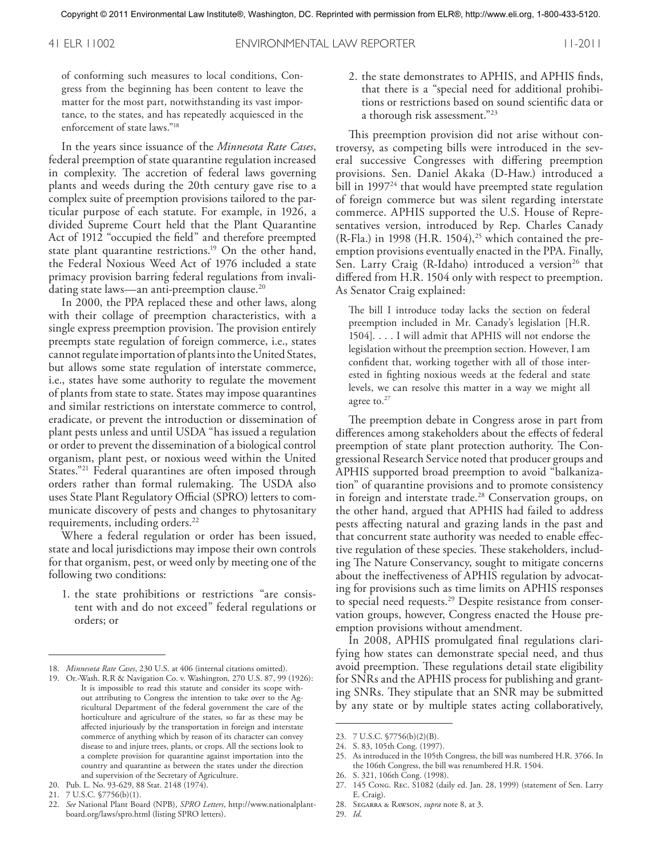41 ELR 11002 ENVIRONMENTAL LAW REPORTER 11-2011

of conforming such measures to local conditions, Congress from the beginning has been content to leave the matter for the most part, notwithstanding its vast importance, to the states, and has repeatedly acquiesced in the enforcement of state laws."18

In the years since issuance of the *Minnesota Rate Cases*, federal preemption of state quarantine regulation increased in complexity. The accretion of federal laws governing plants and weeds during the 20th century gave rise to a complex suite of preemption provisions tailored to the particular purpose of each statute. For example, in 1926, a divided Supreme Court held that the Plant Quarantine Act of 1912 "occupied the field" and therefore preempted state plant quarantine restrictions. <sup>19</sup> On the other hand, the Federal Noxious Weed Act of 1976 included a state primacy provision barring federal regulations from invalidating state laws—an anti-preemption clause. 20

In 2000, the PPA replaced these and other laws, along with their collage of preemption characteristics, with a single express preemption provision. The provision entirely preempts state regulation of foreign commerce, i.e., states cannot regulate importation of plants into the United States, but allows some state regulation of interstate commerce, i.e., states have some authority to regulate the movement of plants from state to state. States may impose quarantines and similar restrictions on interstate commerce to control, eradicate, or prevent the introduction or dissemination of plant pests unless and until USDA "has issued a regulation or order to prevent the dissemination of a biological control organism, plant pest, or noxious weed within the United States."21 Federal quarantines are often imposed through orders rather than formal rulemaking. The USDA also uses State Plant Regulatory Official (SPRO) letters to communicate discovery of pests and changes to phytosanitary requirements, including orders. 22

Where a federal regulation or order has been issued, state and local jurisdictions may impose their own controls for that organism, pest, or weed only by meeting one of the following two conditions:

1. the state prohibitions or restrictions "are consistent with and do not exceed" federal regulations or orders; or

2. the state demonstrates to APHIS, and APHIS finds, that there is a "special need for additional prohibitions or restrictions based on sound scientific data or a thorough risk assessment."23

This preemption provision did not arise without controversy, as competing bills were introduced in the several successive Congresses with differing preemption provisions. Sen. Daniel Akaka (D-Haw.) introduced a bill in 1997<sup>24</sup> that would have preempted state regulation of foreign commerce but was silent regarding interstate commerce. APHIS supported the U.S. House of Representatives version, introduced by Rep. Charles Canady (R-Fla.) in 1998 (H.R. 1504),<sup>25</sup> which contained the preemption provisions eventually enacted in the PPA. Finally, Sen. Larry Craig (R-Idaho) introduced a version<sup>26</sup> that differed from H.R. 1504 only with respect to preemption. As Senator Craig explained:

The bill I introduce today lacks the section on federal preemption included in Mr. Canady's legislation [H.R. 1504].... I will admit that APHIS will not endorse the legislation without the preemption section. However, I am confident that, working together with all of those interested in fighting noxious weeds at the federal and state levels, we can resolve this matter in a way we might all agree to.<sup>27</sup>

The preemption debate in Congress arose in part from differences among stakeholders about the effects of federal preemption of state plant protection authority. The Congressional Research Service noted that producer groups and APHIS supported broad preemption to avoid "balkanization" of quarantine provisions and to promote consistency in foreign and interstate trade. <sup>28</sup> Conservation groups, on the other hand, argued that APHIS had failed to address pests affecting natural and grazing lands in the past and that concurrent state authority was needed to enable effective regulation of these species. These stakeholders, including The Nature Conservancy, sought to mitigate concerns about the ineffectiveness of APHIS regulation by advocating for provisions such as time limits on APHIS responses to special need requests. <sup>29</sup> Despite resistance from conservation groups, however, Congress enacted the House preemption provisions without amendment.

In 2008, APHIS promulgated final regulations clarifying how states can demonstrate special need, and thus avoid preemption. These regulations detail state eligibility for SNRs and the APHIS process for publishing and granting SNRs. They stipulate that an SNR may be submitted by any state or by multiple states acting collaboratively,

26. S. 321, 106th Cong. (1998).

- 28. Segarra & Rawson, *supra* note 8, at 3.
- 29. *Id*.

<sup>18.</sup> *Minnesota Rate Cases*, 230 U.S. at 406 (internal citations omitted).

<sup>19.</sup> Or.-Wash. R.R & Navigation Co. v. Washington*,* 270 U.S. 87, 99 (1926): It is impossible to read this statute and consider its scope without attributing to Congress the intention to take over to the Agricultural Department of the federal government the care of the horticulture and agriculture of the states, so far as these may be affected injuriously by the transportation in foreign and interstate commerce of anything which by reason of its character can convey disease to and injure trees, plants, or crops. All the sections look to a complete provision for quarantine against importation into the country and quarantine as between the states under the direction and supervision of the Secretary of Agriculture.

<sup>20.</sup> Pub. L. No. 93-629, 88 Stat. 2148 (1974).

<sup>21.</sup> 7 U.S.C. §7756(b)(1).

<sup>22.</sup> *See* National Plant Board (NPB), *SPRO Letters*, http://www.nationalplantboard.org/laws/spro.html (listing SPRO letters).

<sup>23.</sup> 7 U.S.C. §7756(b)(2)(B).

<sup>24.</sup> S. 83, 105th Cong. (1997).

<sup>25.</sup> As introduced in the 105th Congress, the bill was numbered H.R. 3766. In the 106th Congress, the bill was renumbered H.R. 1504.

<sup>27.</sup> 145 Cong. Rec. S1082 (daily ed. Jan. 28, 1999) (statement of Sen. Larry E. Craig).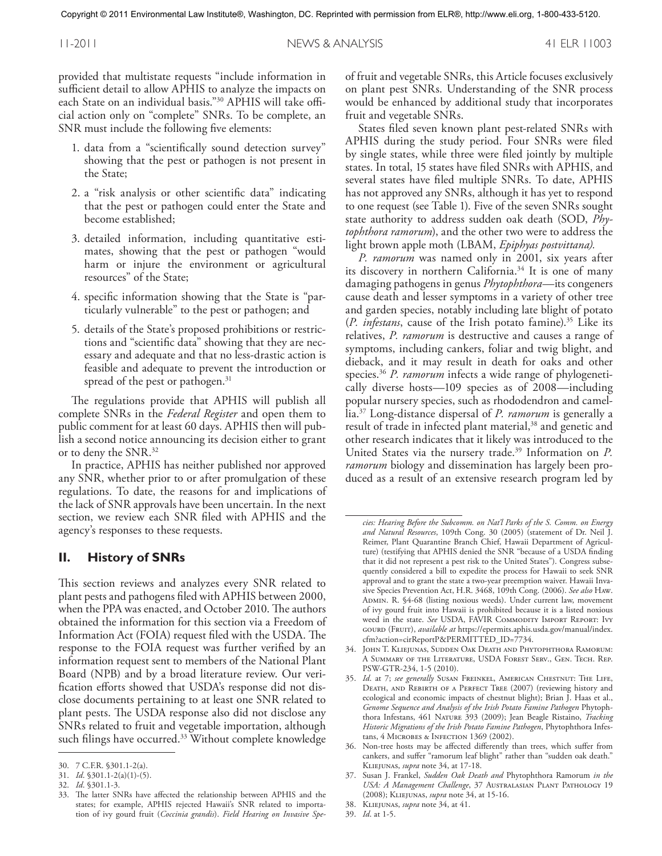provided that multistate requests "include information in sufficient detail to allow APHIS to analyze the impacts on each State on an individual basis."30 APHIS will take official action only on "complete" SNRs. To be complete, an SNR must include the following five elements:

- 1. data from a "scientifically sound detection survey" showing that the pest or pathogen is not present in the State;
- 2. a "risk analysis or other scientific data" indicating that the pest or pathogen could enter the State and become established;
- 3. detailed information, including quantitative estimates, showing that the pest or pathogen "would harm or injure the environment or agricultural resources" of the State;
- 4. specific information showing that the State is "particularly vulnerable" to the pest or pathogen; and
- 5. details of the State's proposed prohibitions or restrictions and "scientific data" showing that they are necessary and adequate and that no less-drastic action is feasible and adequate to prevent the introduction or spread of the pest or pathogen. 31

The regulations provide that APHIS will publish all complete SNRs in the *Federal Register* and open them to public comment for at least 60 days. APHIS then will publish a second notice announcing its decision either to grant or to deny the SNR. 32

In practice, APHIS has neither published nor approved any SNR, whether prior to or after promulgation of these regulations. To date, the reasons for and implications of the lack of SNR approvals have been uncertain. In the next section, we review each SNR filed with APHIS and the agency's responses to these requests.

#### **II. History of SNRs**

This section reviews and analyzes every SNR related to plant pests and pathogens filed with APHIS between 2000, when the PPA was enacted, and October 2010. The authors obtained the information for this section via a Freedom of Information Act (FOIA) request filed with the USDA. The response to the FOIA request was further verified by an information request sent to members of the National Plant Board (NPB) and by a broad literature review. Our verification efforts showed that USDA's response did not disclose documents pertaining to at least one SNR related to plant pests. The USDA response also did not disclose any SNRs related to fruit and vegetable importation, although such filings have occurred. <sup>33</sup> Without complete knowledge

of fruit and vegetable SNRs, this Article focuses exclusively on plant pest SNRs. Understanding of the SNR process would be enhanced by additional study that incorporates fruit and vegetable SNRs.

States filed seven known plant pest-related SNRs with APHIS during the study period. Four SNRs were filed by single states, while three were filed jointly by multiple states. In total, 15 states have filed SNRs with APHIS, and several states have filed multiple SNRs. To date, APHIS has not approved any SNRs, although it has yet to respond to one request (see Table 1). Five of the seven SNRs sought state authority to address sudden oak death (SOD, *Phytophthora ramorum*), and the other two were to address the light brown apple moth (LBAM, *Epiphyas postvittana).*

*P. ramorum* was named only in 2001, six years after its discovery in northern California. <sup>34</sup> It is one of many damaging pathogens in genus *Phytophthora*—its congeners cause death and lesser symptoms in a variety of other tree and garden species, notably including late blight of potato (*P. infestans*, cause of the Irish potato famine). <sup>35</sup> Like its relatives, *P. ramorum* is destructive and causes a range of symptoms, including cankers, foliar and twig blight, and dieback, and it may result in death for oaks and other species. <sup>36</sup> *P. ramorum* infects a wide range of phylogenetically diverse hosts—109 species as of 2008—including popular nursery species, such as rhododendron and camellia. <sup>37</sup> Long-distance dispersal of *P. ramorum* is generally a result of trade in infected plant material,<sup>38</sup> and genetic and other research indicates that it likely was introduced to the United States via the nursery trade. <sup>39</sup> Information on *P. ramorum* biology and dissemination has largely been produced as a result of an extensive research program led by

<sup>30.</sup> 7 C.F.R. §301.1-2(a).

<sup>31.</sup> *Id*. §301.1-2(a)(1)-(5).

<sup>32.</sup> *Id*. §301.1-3.

<sup>33.</sup> The latter SNRs have affected the relationship between APHIS and the states; for example, APHIS rejected Hawaii's SNR related to importation of ivy gourd fruit (*Coccinia grandis*). *Field Hearing on Invasive Spe-*

*cies: Hearing Before the Subcomm. on Nat'l Parks of the S. Comm. on Energy and Natural Resources*, 109th Cong. 30 (2005) (statement of Dr. Neil J. Reimer, Plant Quarantine Branch Chief, Hawaii Department of Agriculture) (testifying that APHIS denied the SNR "because of a USDA finding that it did not represent a pest risk to the United States"). Congress subsequently considered a bill to expedite the process for Hawaii to seek SNR approval and to grant the state a two-year preemption waiver. Hawaii Invasive Species Prevention Act, H.R. 3468, 109th Cong. (2006). *See also* Haw. ADMIN. R. §4-68 (listing noxious weeds). Under current law, movement of ivy gourd fruit into Hawaii is prohibited because it is a listed noxious weed in the state. See USDA, FAVIR COMMODITY IMPORT REPORT: IVY gourd (Fruit), *available at* https://epermits.aphis.usda.gov/manual/index. cfm?action=cirReportP&PERMITTED\_ID=7734.

<sup>34.</sup> John T. Kliejunas, Sudden Oak Death and Phytophthora Ramorum: A Summary of the Literature, USDA Forest Serv., Gen. Tech. Rep. PSW-GTR-234, 1-5 (2010).

<sup>35.</sup> *Id*. at 7; *see generally* Susan Freinkel, American Chestnut: The Life, DEATH, AND REBIRTH OF A PERFECT TREE (2007) (reviewing history and ecological and economic impacts of chestnut blight); Brian J. Haas et al., *Genome Sequence and Analysis of the Irish Potato Famine Pathogen* Phytophthora Infestans, 461 Nature 393 (2009); Jean Beagle Ristaino, *Tracking Historic Migrations of the Irish Potato Famine Pathogen*, Phytophthora Infestans, 4 MICROBES & INFECTION 1369 (2002).

<sup>36.</sup> Non-tree hosts may be affected differently than trees, which suffer from cankers, and suffer "ramorum leaf blight" rather than "sudden oak death." Kliejunas, *supra* note 34, at 17-18.

<sup>37.</sup> Susan J. Frankel, *Sudden Oak Death and* Phytophthora Ramorum *in the USA: A Management Challenge*, 37 Australasian Plant Pathology 19 (2008); Kliejunas, *supra* note 34, at 15-16.

<sup>38.</sup> Kliejunas, *supra* note 34, at 41.

<sup>39.</sup> *Id*. at 1-5.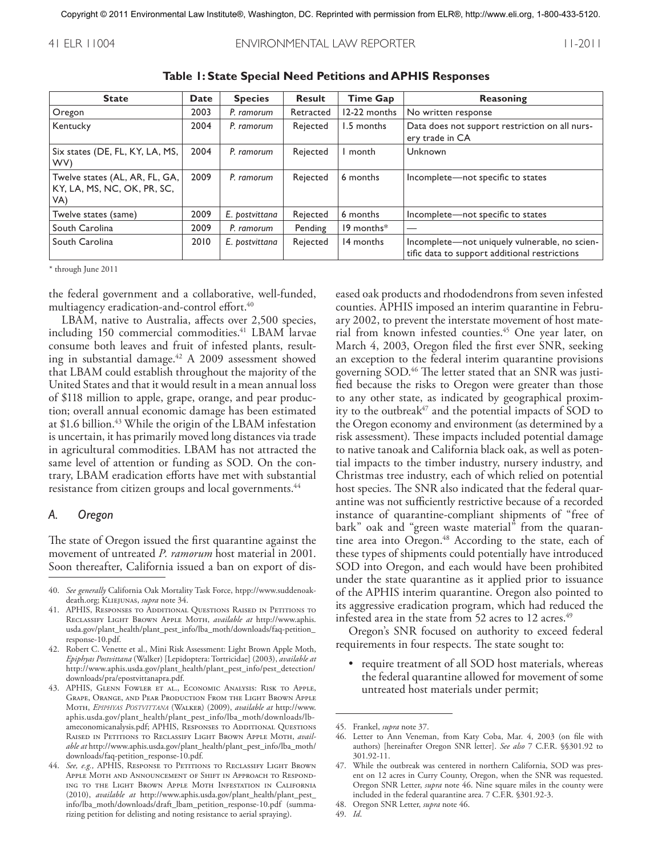#### 41 ELR 11004 ENVIRONMENTAL LAW REPORTER 11-2011

| <b>State</b>                                                         | <b>Date</b> | <b>Species</b> | <b>Result</b> | <b>Time Gap</b> | Reasoning                                                                                      |
|----------------------------------------------------------------------|-------------|----------------|---------------|-----------------|------------------------------------------------------------------------------------------------|
| Oregon                                                               | 2003        | P. ramorum     | Retracted     | 12-22 months    | No written response                                                                            |
| Kentucky                                                             | 2004        | P. ramorum     | Rejected      | 1.5 months      | Data does not support restriction on all nurs-<br>ery trade in CA                              |
| Six states (DE, FL, KY, LA, MS,<br>WV)                               | 2004        | P. ramorum     | Rejected      | month           | Unknown                                                                                        |
| Twelve states (AL, AR, FL, GA,<br>KY, LA, MS, NC, OK, PR, SC,<br>VA) | 2009        | P. ramorum     | Rejected      | 6 months        | Incomplete—not specific to states                                                              |
| Twelve states (same)                                                 | 2009        | E. postvittana | Rejected      | 6 months        | Incomplete—not specific to states                                                              |
| South Carolina                                                       | 2009        | P. ramorum     | Pending       | $19$ months $*$ |                                                                                                |
| South Carolina                                                       | 2010        | E. postvittana | Rejected      | 14 months       | Incomplete-not uniquely vulnerable, no scien-<br>tific data to support additional restrictions |

**Table 1: State Special Need Petitions and APHIS Responses**

\* through June 2011

the federal government and a collaborative, well-funded, multiagency eradication-and-control effort. 40

LBAM, native to Australia, affects over 2,500 species, including 150 commercial commodities. <sup>41</sup> LBAM larvae consume both leaves and fruit of infested plants, resulting in substantial damage. <sup>42</sup> A 2009 assessment showed that LBAM could establish throughout the majority of the United States and that it would result in a mean annual loss of \$118 million to apple, grape, orange, and pear production; overall annual economic damage has been estimated at \$1.6 billion. <sup>43</sup> While the origin of the LBAM infestation is uncertain, it has primarily moved long distances via trade in agricultural commodities. LBAM has not attracted the same level of attention or funding as SOD. On the contrary, LBAM eradication efforts have met with substantial resistance from citizen groups and local governments. 44

#### *A. Oregon*

The state of Oregon issued the first quarantine against the movement of untreated *P. ramorum* host material in 2001. Soon thereafter, California issued a ban on export of dis-

- 42. Robert C. Venette et al., Mini Risk Assessment: Light Brown Apple Moth, *Epiphyas Postvittana* (Walker) [Lepidoptera: Tortricidae] (2003), *available at* http://www.aphis.usda.gov/plant\_health/plant\_pest\_info/pest\_detection/ downloads/pra/epostvittanapra.pdf.
- 43. APHIS, Glenn Fowler et al., Economic Analysis: Risk to Apple, Grape, Orange, and Pear Production From the Light Brown Apple Moth, *Epiphyas Postvittana* (Walker) (2009), *available at* http://www. aphis.usda.gov/plant\_health/plant\_pest\_info/lba\_moth/downloads/lbameconomicanalysis.pdf; APHIS, RESPONSES TO ADDITIONAL QUESTIONS RAISED IN PETITIONS TO RECLASSIFY LIGHT BROWN APPLE MOTH, *available at* http://www.aphis.usda.gov/plant\_health/plant\_pest\_info/lba\_moth/ downloads/faq-petition\_response-10.pdf.
- 44. *See, e.g.,* APHIS, Response to Petitions to Reclassify Light Brown Apple Moth and Announcement of Shift in Approach to Responding to the Light Brown Apple Moth Infestation in California (2010), *available at* http://www.aphis.usda.gov/plant\_health/plant\_pest\_ info/lba\_moth/downloads/draft\_lbam\_petition\_response-10.pdf (summarizing petition for delisting and noting resistance to aerial spraying).

eased oak products and rhododendrons from seven infested counties. APHIS imposed an interim quarantine in February 2002, to prevent the interstate movement of host material from known infested counties. <sup>45</sup> One year later, on March 4, 2003, Oregon filed the first ever SNR, seeking an exception to the federal interim quarantine provisions governing SOD. <sup>46</sup> The letter stated that an SNR was justified because the risks to Oregon were greater than those to any other state, as indicated by geographical proximity to the outbreak<sup>47</sup> and the potential impacts of SOD to the Oregon economy and environment (as determined by a risk assessment). These impacts included potential damage to native tanoak and California black oak, as well as potential impacts to the timber industry, nursery industry, and Christmas tree industry, each of which relied on potential host species. The SNR also indicated that the federal quarantine was not sufficiently restrictive because of a recorded instance of quarantine-compliant shipments of "free of bark" oak and "green waste material" from the quarantine area into Oregon. <sup>48</sup> According to the state, each of these types of shipments could potentially have introduced SOD into Oregon, and each would have been prohibited under the state quarantine as it applied prior to issuance of the APHIS interim quarantine. Oregon also pointed to its aggressive eradication program, which had reduced the infested area in the state from 52 acres to 12 acres. 49

Oregon's SNR focused on authority to exceed federal requirements in four respects. The state sought to:

• require treatment of all SOD host materials, whereas the federal quarantine allowed for movement of some untreated host materials under permit;

<sup>40.</sup> *See generally* California Oak Mortality Task Force, htpp://www.suddenoakdeath.org; Kliejunas, *supra* note 34.

<sup>41.</sup> APHIS, Responses to Additional Questions Raised in Petitions to Reclassify Light Brown Apple Moth, *available at* http://www.aphis. usda.gov/plant\_health/plant\_pest\_info/lba\_moth/downloads/faq-petition\_ response-10.pdf.

<sup>45.</sup> Frankel, *supra* note 37.

<sup>46.</sup> Letter to Ann Veneman, from Katy Coba, Mar. 4, 2003 (on file with authors) [hereinafter Oregon SNR letter]. *See also* 7 C.F.R. §§301.92 to 301.92-11.

<sup>47.</sup> While the outbreak was centered in northern California, SOD was present on 12 acres in Curry County, Oregon, when the SNR was requested. Oregon SNR Letter, *supra* note 46. Nine square miles in the county were included in the federal quarantine area. 7 C.F.R. §301.92-3.

<sup>48.</sup> Oregon SNR Letter, *supra* note 46.

<sup>49.</sup> *Id*.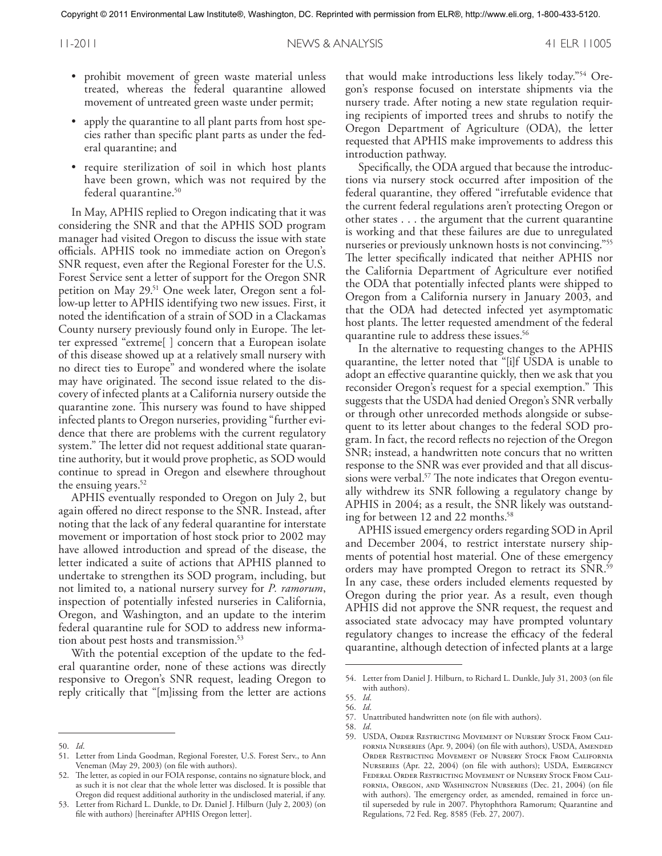- prohibit movement of green waste material unless treated, whereas the federal quarantine allowed movement of untreated green waste under permit;
- apply the quarantine to all plant parts from host species rather than specific plant parts as under the federal quarantine; and
- require sterilization of soil in which host plants have been grown, which was not required by the federal quarantine. 50

In May, APHIS replied to Oregon indicating that it was considering the SNR and that the APHIS SOD program manager had visited Oregon to discuss the issue with state officials. APHIS took no immediate action on Oregon's SNR request, even after the Regional Forester for the U.S. Forest Service sent a letter of support for the Oregon SNR petition on May 29. <sup>51</sup> One week later, Oregon sent a follow-up letter to APHIS identifying two new issues. First, it noted the identification of a strain of SOD in a Clackamas County nursery previously found only in Europe. The letter expressed "extreme[ ] concern that a European isolate of this disease showed up at a relatively small nursery with no direct ties to Europe" and wondered where the isolate may have originated. The second issue related to the discovery of infected plants at a California nursery outside the quarantine zone. This nursery was found to have shipped infected plants to Oregon nurseries, providing "further evidence that there are problems with the current regulatory system." The letter did not request additional state quarantine authority, but it would prove prophetic, as SOD would continue to spread in Oregon and elsewhere throughout the ensuing years. 52

APHIS eventually responded to Oregon on July 2, but again offered no direct response to the SNR. Instead, after noting that the lack of any federal quarantine for interstate movement or importation of host stock prior to 2002 may have allowed introduction and spread of the disease, the letter indicated a suite of actions that APHIS planned to undertake to strengthen its SOD program, including, but not limited to, a national nursery survey for *P. ramorum*, inspection of potentially infested nurseries in California, Oregon, and Washington, and an update to the interim federal quarantine rule for SOD to address new information about pest hosts and transmission. 53

With the potential exception of the update to the federal quarantine order, none of these actions was directly responsive to Oregon's SNR request, leading Oregon to reply critically that "[m]issing from the letter are actions

that would make introductions less likely today."54 Oregon's response focused on interstate shipments via the nursery trade. After noting a new state regulation requiring recipients of imported trees and shrubs to notify the Oregon Department of Agriculture (ODA), the letter requested that APHIS make improvements to address this introduction pathway.

Specifically, the ODA argued that because the introductions via nursery stock occurred after imposition of the federal quarantine, they offered "irrefutable evidence that the current federal regulations aren't protecting Oregon or other states ... the argument that the current quarantine is working and that these failures are due to unregulated nurseries or previously unknown hosts is not convincing."<sup>55</sup> The letter specifically indicated that neither APHIS nor the California Department of Agriculture ever notified the ODA that potentially infected plants were shipped to Oregon from a California nursery in January 2003, and that the ODA had detected infected yet asymptomatic host plants. The letter requested amendment of the federal quarantine rule to address these issues. 56

In the alternative to requesting changes to the APHIS quarantine, the letter noted that "[i]f USDA is unable to adopt an effective quarantine quickly, then we ask that you reconsider Oregon's request for a special exemption." This suggests that the USDA had denied Oregon's SNR verbally or through other unrecorded methods alongside or subsequent to its letter about changes to the federal SOD program. In fact, the record reflects no rejection of the Oregon SNR; instead, a handwritten note concurs that no written response to the SNR was ever provided and that all discussions were verbal. <sup>57</sup> The note indicates that Oregon eventually withdrew its SNR following a regulatory change by APHIS in 2004; as a result, the SNR likely was outstanding for between 12 and 22 months. 58

APHIS issued emergency orders regarding SOD in April and December 2004, to restrict interstate nursery shipments of potential host material. One of these emergency orders may have prompted Oregon to retract its SNR. 59 In any case, these orders included elements requested by Oregon during the prior year. As a result, even though APHIS did not approve the SNR request, the request and associated state advocacy may have prompted voluntary regulatory changes to increase the efficacy of the federal quarantine, although detection of infected plants at a large

<sup>50.</sup> *Id*.

<sup>51.</sup> Letter from Linda Goodman, Regional Forester, U.S. Forest Serv., to Ann Veneman (May 29, 2003) (on file with authors).

<sup>52.</sup> The letter, as copied in our FOIA response, contains no signature block, and as such it is not clear that the whole letter was disclosed. It is possible that Oregon did request additional authority in the undisclosed material, if any.

<sup>53.</sup> Letter from Richard L. Dunkle, to Dr. Daniel J. Hilburn (July 2, 2003) (on file with authors) [hereinafter APHIS Oregon letter].

<sup>54.</sup> Letter from Daniel J. Hilburn, to Richard L. Dunkle, July 31, 2003 (on file with authors).

<sup>55.</sup> *Id*. 56. *Id*.

<sup>57.</sup> Unattributed handwritten note (on file with authors).

<sup>58.</sup> *Id*.

<sup>59.</sup> USDA, Order Restricting Movement of Nursery Stock From California Nurseries (Apr. 9, 2004) (on file with authors), USDA, Amended Order Restricting Movement of Nursery Stock From California Nurseries (Apr. 22, 2004) (on file with authors); USDA, Emergency Federal Order Restricting Movement of Nursery Stock From California, Oregon, and Washington Nurseries (Dec. 21, 2004) (on file with authors). The emergency order, as amended, remained in force until superseded by rule in 2007. Phytophthora Ramorum; Quarantine and Regulations, 72 Fed. Reg. 8585 (Feb. 27, 2007).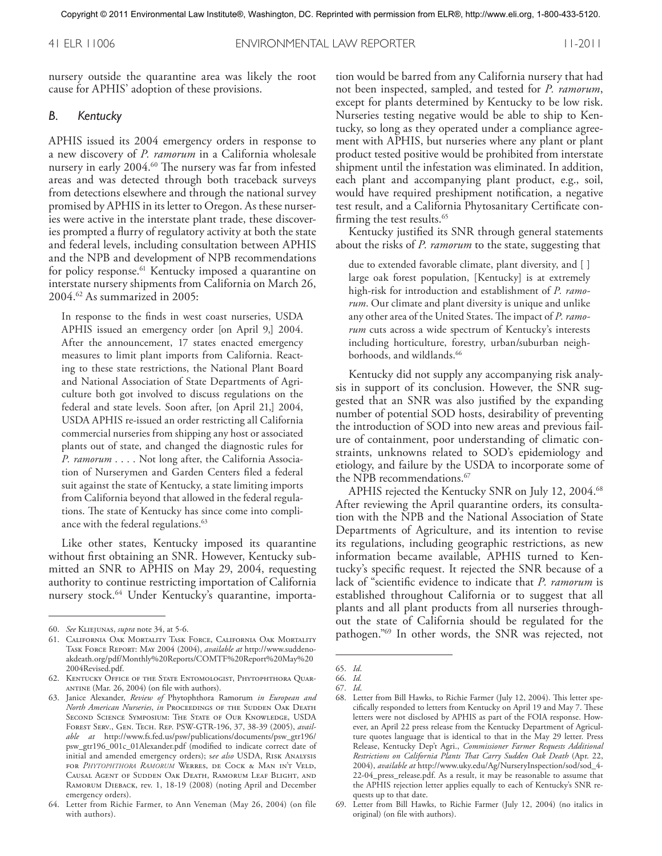41 ELR 11006 ENVIRONMENTAL LAW REPORTER 11-2011

nursery outside the quarantine area was likely the root cause for APHIS' adoption of these provisions.

#### *B. Kentucky*

APHIS issued its 2004 emergency orders in response to a new discovery of *P. ramorum* in a California wholesale nursery in early 2004. <sup>60</sup> The nursery was far from infested areas and was detected through both traceback surveys from detections elsewhere and through the national survey promised by APHIS in its letter to Oregon. As these nurseries were active in the interstate plant trade, these discoveries prompted a flurry of regulatory activity at both the state and federal levels, including consultation between APHIS and the NPB and development of NPB recommendations for policy response. <sup>61</sup> Kentucky imposed a quarantine on interstate nursery shipments from California on March 26, 2004. <sup>62</sup> As summarized in 2005:

In response to the finds in west coast nurseries, USDA APHIS issued an emergency order [on April 9,] 2004. After the announcement, 17 states enacted emergency measures to limit plant imports from California. Reacting to these state restrictions, the National Plant Board and National Association of State Departments of Agriculture both got involved to discuss regulations on the federal and state levels. Soon after, [on April 21,] 2004, USDA APHIS re-issued an order restricting all California commercial nurseries from shipping any host or associated plants out of state, and changed the diagnostic rules for *P. ramorum*.... Not long after, the California Association of Nurserymen and Garden Centers filed a federal suit against the state of Kentucky, a state limiting imports from California beyond that allowed in the federal regulations. The state of Kentucky has since come into compliance with the federal regulations. 63

Like other states, Kentucky imposed its quarantine without first obtaining an SNR. However, Kentucky submitted an SNR to APHIS on May 29, 2004, requesting authority to continue restricting importation of California nursery stock. <sup>64</sup> Under Kentucky's quarantine, importa-

tion would be barred from any California nursery that had not been inspected, sampled, and tested for *P. ramorum*, except for plants determined by Kentucky to be low risk. Nurseries testing negative would be able to ship to Kentucky, so long as they operated under a compliance agreement with APHIS, but nurseries where any plant or plant product tested positive would be prohibited from interstate shipment until the infestation was eliminated. In addition, each plant and accompanying plant product, e.g., soil, would have required preshipment notification, a negative test result, and a California Phytosanitary Certificate confirming the test results. 65

Kentucky justified its SNR through general statements about the risks of *P. ramorum* to the state, suggesting that

due to extended favorable climate, plant diversity, and [ ] large oak forest population, [Kentucky] is at extremely high-risk for introduction and establishment of *P. ramorum*. Our climate and plant diversity is unique and unlike any other area of the United States. The impact of *P. ramorum* cuts across a wide spectrum of Kentucky's interests including horticulture, forestry, urban/suburban neighborhoods, and wildlands. 66

Kentucky did not supply any accompanying risk analysis in support of its conclusion. However, the SNR suggested that an SNR was also justified by the expanding number of potential SOD hosts, desirability of preventing the introduction of SOD into new areas and previous failure of containment, poor understanding of climatic constraints, unknowns related to SOD's epidemiology and etiology, and failure by the USDA to incorporate some of the NPB recommendations. 67

APHIS rejected the Kentucky SNR on July 12, 2004. 68 After reviewing the April quarantine orders, its consultation with the NPB and the National Association of State Departments of Agriculture, and its intention to revise its regulations, including geographic restrictions, as new information became available, APHIS turned to Kentucky's specific request. It rejected the SNR because of a lack of "scientific evidence to indicate that *P. ramorum* is established throughout California or to suggest that all plants and all plant products from all nurseries throughout the state of California should be regulated for the pathogen."69 In other words, the SNR was rejected, not

<sup>60.</sup> *See* Kliejunas, *supra* note 34, at 5-6.

<sup>61.</sup> California Oak Mortality Task Force, California Oak Mortality Task Force Report: May 2004 (2004), *available at* http://www.suddenoakdeath.org/pdf/Monthly%20Reports/COMTF%20Report%20May%20 2004Revised.pdf.

<sup>62.</sup> Kentucky Office of the State Entomologist, Phytophthora Quarantine (Mar. 26, 2004) (on file with authors).

<sup>63.</sup> Janice Alexander, *Review of* Phytophthora Ramorum *in European and North American Nurseries*, *in* Proceedings of the Sudden Oak Death Second Science Symposium: The State of Our Knowledge, USDA Forest Serv., Gen. Tech. Rep. PSW-GTR-196, 37, 38-39 (2005), *available at* http://www.fs.fed.us/psw/publications/documents/psw\_gtr196/ psw\_gtr196\_001c\_01Alexander.pdf (modified to indicate correct date of initial and amended emergency orders); s*ee also* USDA, Risk Analysis for *Phytophthora Ramorum* Werres, de Cock & Man in't Veld, Causal Agent of Sudden Oak Death, Ramorum Leaf Blight, and RAMORUM DIEBACK, rev. 1, 18-19 (2008) (noting April and December emergency orders).

<sup>64.</sup> Letter from Richie Farmer, to Ann Veneman (May 26, 2004) (on file with authors).

<sup>65.</sup> *Id*.

<sup>66.</sup> *Id.*

<sup>67.</sup> *Id*.

<sup>68.</sup> Letter from Bill Hawks, to Richie Farmer (July 12, 2004). This letter specifically responded to letters from Kentucky on April 19 and May 7. These letters were not disclosed by APHIS as part of the FOIA response. However, an April 22 press release from the Kentucky Department of Agriculture quotes language that is identical to that in the May 29 letter. Press Release, Kentucky Dep't Agri., *Commissioner Farmer Requests Additional Restrictions on California Plants That Carry Sudden Oak Death* (Apr. 22, 2004), *available at* http://www.uky.edu/Ag/NurseryInspection/sod/sod\_4- 22-04\_press\_release.pdf. As a result, it may be reasonable to assume that the APHIS rejection letter applies equally to each of Kentucky's SNR requests up to that date.

<sup>69.</sup> Letter from Bill Hawks, to Richie Farmer (July 12, 2004) (no italics in original) (on file with authors).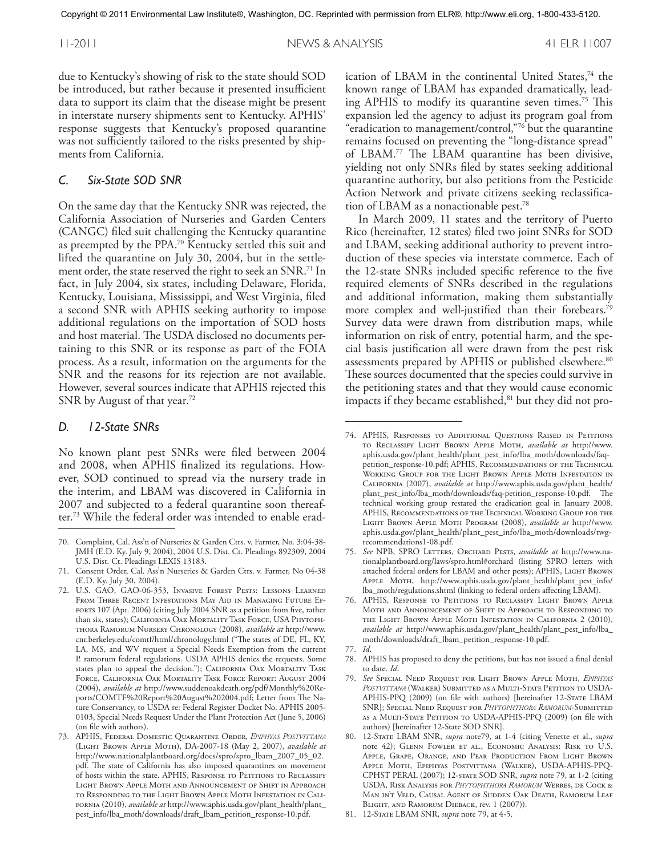due to Kentucky's showing of risk to the state should SOD be introduced, but rather because it presented insufficient data to support its claim that the disease might be present in interstate nursery shipments sent to Kentucky. APHIS' response suggests that Kentucky's proposed quarantine was not sufficiently tailored to the risks presented by shipments from California.

#### *C. Six-State SOD SNR*

On the same day that the Kentucky SNR was rejected, the California Association of Nurseries and Garden Centers (CANGC) filed suit challenging the Kentucky quarantine as preempted by the PPA. <sup>70</sup> Kentucky settled this suit and lifted the quarantine on July 30, 2004, but in the settlement order, the state reserved the right to seek an SNR. $^\mathbf{71}\!$  In fact, in July 2004, six states, including Delaware, Florida, Kentucky, Louisiana, Mississippi, and West Virginia, filed a second SNR with APHIS seeking authority to impose additional regulations on the importation of SOD hosts and host material. The USDA disclosed no documents pertaining to this SNR or its response as part of the FOIA process. As a result, information on the arguments for the SNR and the reasons for its rejection are not available. However, several sources indicate that APHIS rejected this SNR by August of that year. 72

#### *D. 12-State SNRs*

No known plant pest SNRs were filed between 2004 and 2008, when APHIS finalized its regulations. However, SOD continued to spread via the nursery trade in the interim, and LBAM was discovered in California in 2007 and subjected to a federal quarantine soon thereafter. <sup>73</sup> While the federal order was intended to enable erad-

ication of LBAM in the continental United States,<sup>74</sup> the known range of LBAM has expanded dramatically, leading APHIS to modify its quarantine seven times. <sup>75</sup> This expansion led the agency to adjust its program goal from "eradication to management/control,"76 but the quarantine remains focused on preventing the "long-distance spread" of LBAM. <sup>77</sup> The LBAM quarantine has been divisive, yielding not only SNRs filed by states seeking additional quarantine authority, but also petitions from the Pesticide Action Network and private citizens seeking reclassification of LBAM as a nonactionable pest. 78

In March 2009, 11 states and the territory of Puerto Rico (hereinafter, 12 states) filed two joint SNRs for SOD and LBAM, seeking additional authority to prevent introduction of these species via interstate commerce. Each of the 12-state SNRs included specific reference to the five required elements of SNRs described in the regulations and additional information, making them substantially more complex and well-justified than their forebears. 79 Survey data were drawn from distribution maps, while information on risk of entry, potential harm, and the special basis justification all were drawn from the pest risk assessments prepared by APHIS or published elsewhere. 80 These sources documented that the species could survive in the petitioning states and that they would cause economic impacts if they became established,<sup>81</sup> but they did not pro-

- 76. APHIS, Response to Petitions to Reclassify Light Brown Apple Moth and Announcement of Shift in Approach to Responding to the Light Brown Apple Moth Infestation in California 2 (2010), *available at* http://www.aphis.usda.gov/plant\_health/plant\_pest\_info/lba\_ moth/downloads/draft\_lbam\_petition\_response-10.pdf.
- 77. *Id*.
- 78. APHIS has proposed to deny the petitions, but has not issued a final denial to date. *Id*.
- 79. *See* Special Need Request for Light Brown Apple Moth, *Epiphyas Postvittana* (Walker) Submitted as a Multi-State Petition to USDA-APHIS-PPQ (2009) (on file with authors) [hereinafter 12-STATE LBAM SNR]; Special Need Request for *Phytophthora Ramorum*-Submitted as a Multi-State Petition to USDA-APHIS-PPQ (2009) (on file with authors) [hereinafter 12-State SOD SNR].
- 80. 12-State LBAM SNR, *supra* note79, at 1-4 (citing Venette et al., *supra* note 42); Glenn Fowler et al., Economic Analysis: Risk to U.S. Apple, Grape, Orange, and Pear Production From Light Brown Apple Moth, Epiphyas Postvittana (Walker), USDA-APHIS-PPQ-CPHST PERAL (2007); 12-state SOD SNR, *supra* note 79, at 1-2 (citing USDA, Risk Analysis for *Phytophthora Ramorum* Werres, de Cock & Man in't Veld, Causal Agent of Sudden Oak Death, Ramorum Leaf BLIGHT, AND RAMORUM DIEBACK, rev. 1 (2007)).
- 81. 12-State LBAM SNR, *supra* note 79, at 4-5.

<sup>70.</sup> Complaint, Cal. Ass'n of Nurseries & Garden Ctrs. v. Farmer, No. 3:04-38- JMH (E.D. Ky. July 9, 2004), 2004 U.S. Dist. Ct. Pleadings 892309, 2004 U.S. Dist. Ct. Pleadings LEXIS 13183.

<sup>71.</sup> Consent Order, Cal. Ass'n Nurseries & Garden Ctrs. v. Farmer, No 04-38 (E.D. Ky. July 30, 2004).

<sup>72.</sup> U.S. GAO, GAO-06-353, Invasive Forest Pests: Lessons Learned From Three Recent Infestations May Aid in Managing Future Efforts 107 (Apr. 2006) (citing July 2004 SNR as a petition from five, rather than six, states); California Oak Mortality Task Force, USA Phytophthora Ramorum Nursery Chronology (2008), *available at* http://www. cnr.berkeley.edu/comtf/html/chronology.html ("The states of DE, FL, KY, LA, MS, and WV request a Special Needs Exemption from the current P. ramorum federal regulations. USDA APHIS denies the requests. Some states plan to appeal the decision."); California Oak Mortality Task Force, California Oak Mortality Task Force Report: August 2004 (2004), *available at* http://www.suddenoakdeath.org/pdf/Monthly%20Reports/COMTF%20Report%20August%202004.pdf; Letter from The Nature Conservancy, to USDA re: Federal Register Docket No. APHIS 2005- 0103, Special Needs Request Under the Plant Protection Act (June 5, 2006) (on file with authors).

<sup>73.</sup> APHIS, Federal Domestic Quarantine Order, *Epiphyas Postvittana* (Light Brown Apple Moth), DA-2007-18 (May 2, 2007), *available at* http://www.nationalplantboard.org/docs/spro/spro\_lbam\_2007\_05\_02. pdf. The state of California has also imposed quarantines on movement of hosts within the state. APHIS, RESPONSE TO PETITIONS TO RECLASSIFY Light Brown Apple Moth and Announcement of Shift in Approach to Responding to the Light Brown Apple Moth Infestation in California (2010), *available at* http://www.aphis.usda.gov/plant\_health/plant\_ pest\_info/lba\_moth/downloads/draft\_lbam\_petition\_response-10.pdf.

<sup>74.</sup> APHIS, Responses to Additional Questions Raised in Petitions to Reclassify Light Brown Apple Moth, *available at* http://www. aphis.usda.gov/plant\_health/plant\_pest\_info/lba\_moth/downloads/faqpetition\_response-10.pdf; APHIS, Recommendations of the Technical Working Group for the Light Brown Apple Moth Infestation in California (2007), *available at* http://www.aphis.usda.gov/plant\_health/ plant\_pest\_info/lba\_moth/downloads/faq-petition\_response-10.pdf. The technical working group restated the eradication goal in January 2008. APHIS, Recommendations of the Technical Working Group for the Light Brown Apple Moth Program (2008), *available at* http://www. aphis.usda.gov/plant\_health/plant\_pest\_info/lba\_moth/downloads/twgrecommendations1-08.pdf.

<sup>75.</sup> *See* NPB, SPRO Letters, Orchard Pests, *available at* http://www.nationalplantboard.org/laws/spro.html#orchard (listing SPRO letters with attached federal orders for LBAM and other pests); APHIS, LIGHT BROWN Apple Moth, http://www.aphis.usda.gov/plant\_health/plant\_pest\_info/ lba\_moth/regulations.shtml (linking to federal orders affecting LBAM).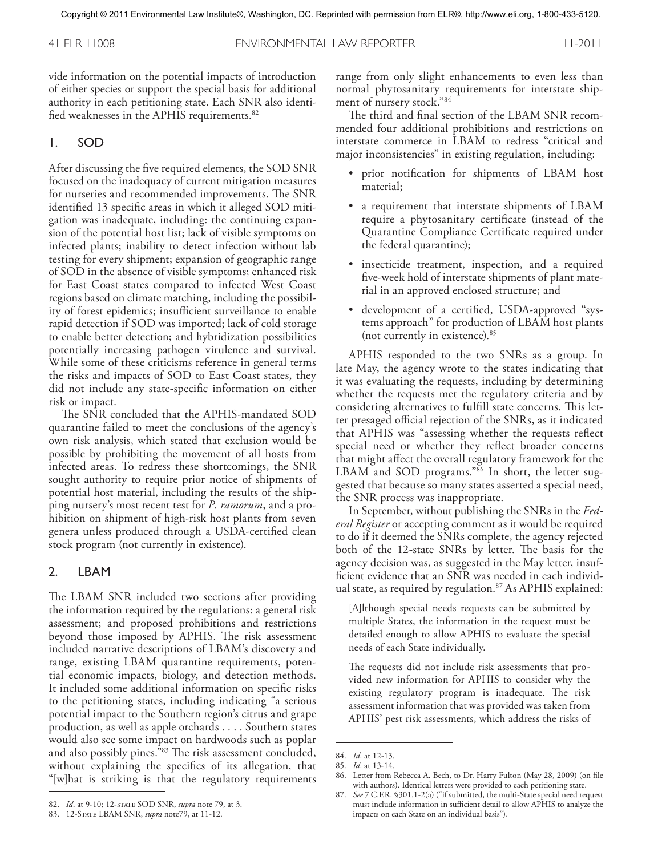vide information on the potential impacts of introduction of either species or support the special basis for additional authority in each petitioning state. Each SNR also identified weaknesses in the APHIS requirements. 82

#### 1. SOD

After discussing the five required elements, the SOD SNR focused on the inadequacy of current mitigation measures for nurseries and recommended improvements. The SNR identified 13 specific areas in which it alleged SOD mitigation was inadequate, including: the continuing expansion of the potential host list; lack of visible symptoms on infected plants; inability to detect infection without lab testing for every shipment; expansion of geographic range of SOD in the absence of visible symptoms; enhanced risk for East Coast states compared to infected West Coast regions based on climate matching, including the possibility of forest epidemics; insufficient surveillance to enable rapid detection if SOD was imported; lack of cold storage to enable better detection; and hybridization possibilities potentially increasing pathogen virulence and survival. While some of these criticisms reference in general terms the risks and impacts of SOD to East Coast states, they did not include any state-specific information on either risk or impact.

The SNR concluded that the APHIS-mandated SOD quarantine failed to meet the conclusions of the agency's own risk analysis, which stated that exclusion would be possible by prohibiting the movement of all hosts from infected areas. To redress these shortcomings, the SNR sought authority to require prior notice of shipments of potential host material, including the results of the shipping nursery's most recent test for *P. ramorum*, and a prohibition on shipment of high-risk host plants from seven genera unless produced through a USDA-certified clean stock program (not currently in existence).

#### 2. LBAM

The LBAM SNR included two sections after providing the information required by the regulations: a general risk assessment; and proposed prohibitions and restrictions beyond those imposed by APHIS. The risk assessment included narrative descriptions of LBAM's discovery and range, existing LBAM quarantine requirements, potential economic impacts, biology, and detection methods. It included some additional information on specific risks to the petitioning states, including indicating "a serious potential impact to the Southern region's citrus and grape production, as well as apple orchards .... Southern states would also see some impact on hardwoods such as poplar and also possibly pines."83 The risk assessment concluded, without explaining the specifics of its allegation, that "[w]hat is striking is that the regulatory requirements

range from only slight enhancements to even less than normal phytosanitary requirements for interstate shipment of nursery stock."84

The third and final section of the LBAM SNR recommended four additional prohibitions and restrictions on interstate commerce in LBAM to redress "critical and major inconsistencies" in existing regulation, including:

- prior notification for shipments of LBAM host material;
- a requirement that interstate shipments of LBAM require a phytosanitary certificate (instead of the Quarantine Compliance Certificate required under the federal quarantine);
- insecticide treatment, inspection, and a required five-week hold of interstate shipments of plant material in an approved enclosed structure; and
- development of a certified, USDA-approved "systems approach" for production of LBAM host plants (not currently in existence). 85

APHIS responded to the two SNRs as a group. In late May, the agency wrote to the states indicating that it was evaluating the requests, including by determining whether the requests met the regulatory criteria and by considering alternatives to fulfill state concerns. This letter presaged official rejection of the SNRs, as it indicated that APHIS was "assessing whether the requests reflect special need or whether they reflect broader concerns that might affect the overall regulatory framework for the LBAM and SOD programs."86 In short, the letter suggested that because so many states asserted a special need, the SNR process was inappropriate.

In September, without publishing the SNRs in the *Federal Register* or accepting comment as it would be required to do if it deemed the SNRs complete, the agency rejected both of the 12-state SNRs by letter. The basis for the agency decision was, as suggested in the May letter, insufficient evidence that an SNR was needed in each individual state, as required by regulation. <sup>87</sup> As APHIS explained:

[A]lthough special needs requests can be submitted by multiple States, the information in the request must be detailed enough to allow APHIS to evaluate the special needs of each State individually.

The requests did not include risk assessments that provided new information for APHIS to consider why the existing regulatory program is inadequate. The risk assessment information that was provided was taken from APHIS' pest risk assessments, which address the risks of

<sup>84.</sup> *Id*. at 12-13. 85. *Id*. at 13-14.

<sup>86.</sup> Letter from Rebecca A. Bech, to Dr. Harry Fulton (May 28, 2009) (on file with authors). Identical letters were provided to each petitioning state.

<sup>82.</sup> *Id*. at 9-10; 12-state SOD SNR, *supra* note 79, at 3.

<sup>83. 12-</sup>STATE LBAM SNR, *supra* note79, at 11-12.

<sup>87.</sup> *See* 7 C.F.R. §301.1-2(a) ("if submitted, the multi-State special need request must include information in sufficient detail to allow APHIS to analyze the impacts on each State on an individual basis").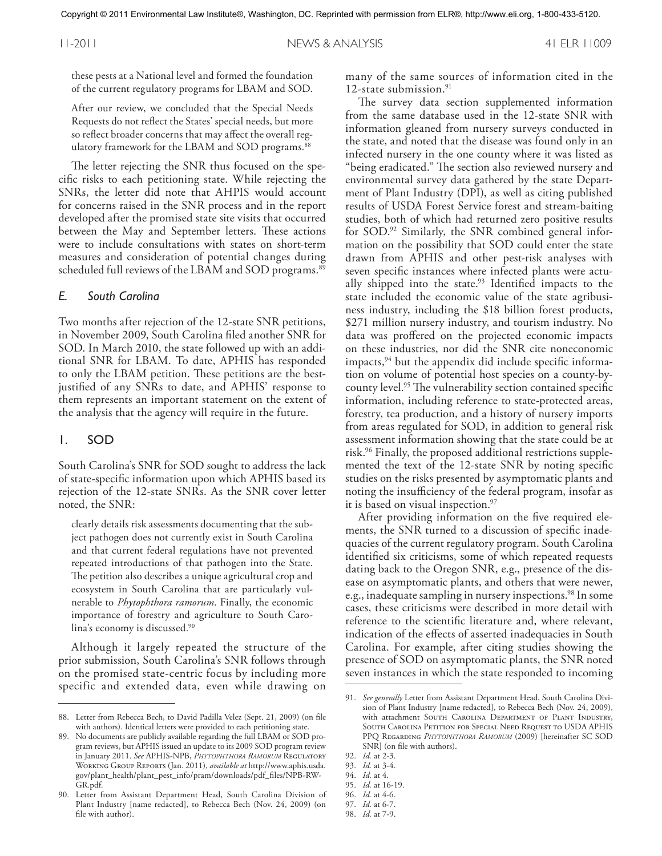these pests at a National level and formed the foundation of the current regulatory programs for LBAM and SOD.

After our review, we concluded that the Special Needs Requests do not reflect the States' special needs, but more so reflect broader concerns that may affect the overall regulatory framework for the LBAM and SOD programs. 88

The letter rejecting the SNR thus focused on the specific risks to each petitioning state. While rejecting the SNRs, the letter did note that AHPIS would account for concerns raised in the SNR process and in the report developed after the promised state site visits that occurred between the May and September letters. These actions were to include consultations with states on short-term measures and consideration of potential changes during scheduled full reviews of the LBAM and SOD programs. 89

#### *E. South Carolina*

Two months after rejection of the 12-state SNR petitions, in November 2009, South Carolina filed another SNR for SOD. In March 2010, the state followed up with an additional SNR for LBAM. To date, APHIS has responded to only the LBAM petition. These petitions are the bestjustified of any SNRs to date, and APHIS' response to them represents an important statement on the extent of the analysis that the agency will require in the future.

#### 1. SOD

South Carolina's SNR for SOD sought to address the lack of state-specific information upon which APHIS based its rejection of the 12-state SNRs. As the SNR cover letter noted, the SNR:

clearly details risk assessments documenting that the subject pathogen does not currently exist in South Carolina and that current federal regulations have not prevented repeated introductions of that pathogen into the State. The petition also describes a unique agricultural crop and ecosystem in South Carolina that are particularly vulnerable to *Phytophthora ramorum*. Finally, the economic importance of forestry and agriculture to South Carolina's economy is discussed. 90

Although it largely repeated the structure of the prior submission, South Carolina's SNR follows through on the promised state-centric focus by including more specific and extended data, even while drawing on many of the same sources of information cited in the 12-state submission. 91

The survey data section supplemented information from the same database used in the 12-state SNR with information gleaned from nursery surveys conducted in the state, and noted that the disease was found only in an infected nursery in the one county where it was listed as "being eradicated." The section also reviewed nursery and environmental survey data gathered by the state Department of Plant Industry (DPI), as well as citing published results of USDA Forest Service forest and stream-baiting studies, both of which had returned zero positive results for SOD. <sup>92</sup> Similarly, the SNR combined general information on the possibility that SOD could enter the state drawn from APHIS and other pest-risk analyses with seven specific instances where infected plants were actually shipped into the state. <sup>93</sup> Identified impacts to the state included the economic value of the state agribusiness industry, including the \$18 billion forest products, \$271 million nursery industry, and tourism industry. No data was proffered on the projected economic impacts on these industries, nor did the SNR cite noneconomic impacts,  $94$  but the appendix did include specific information on volume of potential host species on a county-bycounty level. <sup>95</sup> The vulnerability section contained specific information, including reference to state-protected areas, forestry, tea production, and a history of nursery imports from areas regulated for SOD, in addition to general risk assessment information showing that the state could be at risk. <sup>96</sup> Finally, the proposed additional restrictions supplemented the text of the 12-state SNR by noting specific studies on the risks presented by asymptomatic plants and noting the insufficiency of the federal program, insofar as it is based on visual inspection. 97

After providing information on the five required elements, the SNR turned to a discussion of specific inadequacies of the current regulatory program. South Carolina identified six criticisms, some of which repeated requests dating back to the Oregon SNR, e.g., presence of the disease on asymptomatic plants, and others that were newer, e.g., inadequate sampling in nursery inspections.<sup>98</sup> In some cases, these criticisms were described in more detail with reference to the scientific literature and, where relevant, indication of the effects of asserted inadequacies in South Carolina. For example, after citing studies showing the presence of SOD on asymptomatic plants, the SNR noted seven instances in which the state responded to incoming

<sup>88.</sup> Letter from Rebecca Bech, to David Padilla Velez (Sept. 21, 2009) (on file with authors). Identical letters were provided to each petitioning state.

<sup>89.</sup> No documents are publicly available regarding the full LBAM or SOD program reviews, but APHIS issued an update to its 2009 SOD program review in January 2011. *See* APHIS-NPB, *Phytophthora Ramorum* Regulatory Working Group Reports (Jan. 2011), *available at* http://www.aphis.usda. gov/plant\_health/plant\_pest\_info/pram/downloads/pdf\_files/NPB-RW-GR.pdf.

<sup>90.</sup> Letter from Assistant Department Head, South Carolina Division of Plant Industry [name redacted], to Rebecca Bech (Nov. 24, 2009) (on file with author).

<sup>91.</sup> *See generally* Letter from Assistant Department Head, South Carolina Division of Plant Industry [name redacted], to Rebecca Bech (Nov. 24, 2009), with attachment SOUTH CAROLINA DEPARTMENT OF PLANT INDUSTRY, South Carolina Petition for Special Need Request to USDA APHIS PPQ Regarding *Phytophthora Ramorum* (2009) [hereinafter SC SOD SNR] (on file with authors).

<sup>92.</sup> *Id.* at 2-3.

<sup>93.</sup> *Id.* at 3-4.

<sup>94.</sup> *Id.* at 4.

<sup>95.</sup> *Id.* at 16-19.

<sup>96.</sup> *Id.* at 4-6.

<sup>97.</sup> *Id.* at 6-7.

<sup>98.</sup> *Id.* at 7-9.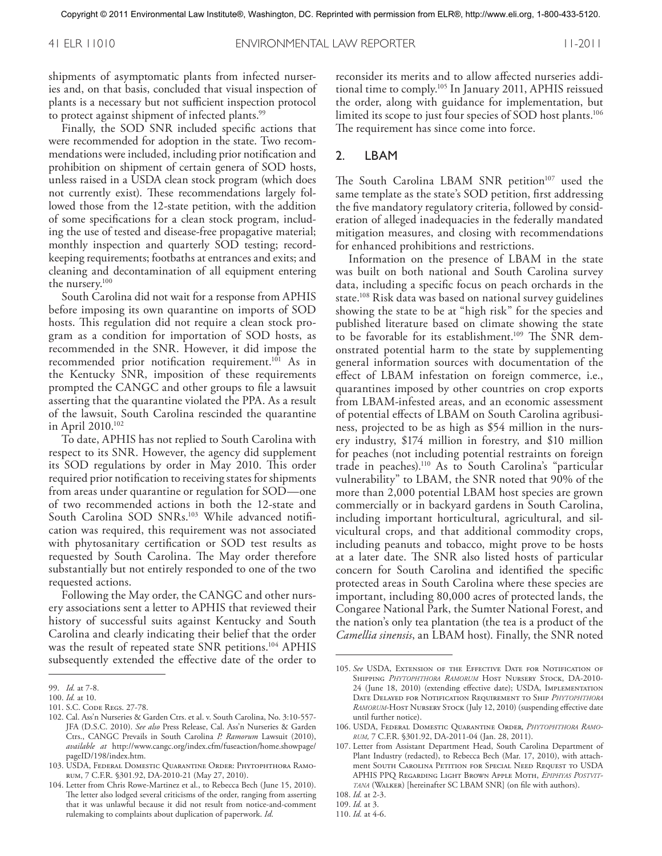shipments of asymptomatic plants from infected nurseries and, on that basis, concluded that visual inspection of plants is a necessary but not sufficient inspection protocol to protect against shipment of infected plants. 99

Finally, the SOD SNR included specific actions that were recommended for adoption in the state. Two recommendations were included, including prior notification and prohibition on shipment of certain genera of SOD hosts, unless raised in a USDA clean stock program (which does not currently exist). These recommendations largely followed those from the 12-state petition, with the addition of some specifications for a clean stock program, including the use of tested and disease-free propagative material; monthly inspection and quarterly SOD testing; recordkeeping requirements; footbaths at entrances and exits; and cleaning and decontamination of all equipment entering the nursery. 100

South Carolina did not wait for a response from APHIS before imposing its own quarantine on imports of SOD hosts. This regulation did not require a clean stock program as a condition for importation of SOD hosts, as recommended in the SNR. However, it did impose the recommended prior notification requirement. <sup>101</sup> As in the Kentucky SNR, imposition of these requirements prompted the CANGC and other groups to file a lawsuit asserting that the quarantine violated the PPA. As a result of the lawsuit, South Carolina rescinded the quarantine in April 2010. 102

To date, APHIS has not replied to South Carolina with respect to its SNR. However, the agency did supplement its SOD regulations by order in May 2010. This order required prior notification to receiving states for shipments from areas under quarantine or regulation for SOD—one of two recommended actions in both the 12-state and South Carolina SOD SNRs. <sup>103</sup> While advanced notification was required, this requirement was not associated with phytosanitary certification or SOD test results as requested by South Carolina. The May order therefore substantially but not entirely responded to one of the two requested actions.

Following the May order, the CANGC and other nursery associations sent a letter to APHIS that reviewed their history of successful suits against Kentucky and South Carolina and clearly indicating their belief that the order was the result of repeated state SNR petitions. <sup>104</sup> APHIS subsequently extended the effective date of the order to

reconsider its merits and to allow affected nurseries additional time to comply. <sup>105</sup> In January 2011, APHIS reissued the order, along with guidance for implementation, but limited its scope to just four species of SOD host plants. 106 The requirement has since come into force.

#### 2. LBAM

The South Carolina LBAM SNR petition<sup>107</sup> used the same template as the state's SOD petition, first addressing the five mandatory regulatory criteria, followed by consideration of alleged inadequacies in the federally mandated mitigation measures, and closing with recommendations for enhanced prohibitions and restrictions.

Information on the presence of LBAM in the state was built on both national and South Carolina survey data, including a specific focus on peach orchards in the state. <sup>108</sup> Risk data was based on national survey guidelines showing the state to be at "high risk" for the species and published literature based on climate showing the state to be favorable for its establishment. <sup>109</sup> The SNR demonstrated potential harm to the state by supplementing general information sources with documentation of the effect of LBAM infestation on foreign commerce, i.e., quarantines imposed by other countries on crop exports from LBAM-infested areas, and an economic assessment of potential effects of LBAM on South Carolina agribusiness, projected to be as high as \$54 million in the nursery industry, \$174 million in forestry, and \$10 million for peaches (not including potential restraints on foreign trade in peaches). <sup>110</sup> As to South Carolina's "particular vulnerability" to LBAM, the SNR noted that 90% of the more than 2,000 potential LBAM host species are grown commercially or in backyard gardens in South Carolina, including important horticultural, agricultural, and silvicultural crops, and that additional commodity crops, including peanuts and tobacco, might prove to be hosts at a later date. The SNR also listed hosts of particular concern for South Carolina and identified the specific protected areas in South Carolina where these species are important, including 80,000 acres of protected lands, the Congaree National Park, the Sumter National Forest, and the nation's only tea plantation (the tea is a product of the *Camellia sinensis*, an LBAM host). Finally, the SNR noted

<sup>99.</sup> *Id.* at 7-8.

<sup>100.</sup> *Id.* at 10.

<sup>101.</sup> S.C. Code Regs. 27-78.

<sup>102.</sup> Cal. Ass'n Nurseries & Garden Ctrs. et al. v. South Carolina, No. 3:10-557- JFA (D.S.C. 2010). *See also* Press Release, Cal. Ass'n Nurseries & Garden Ctrs., CANGC Prevails in South Carolina *P. Ramorum* Lawsuit (2010), *available at* http://www.cangc.org/index.cfm/fuseaction/home.showpage/ pageID/198/index.htm.

<sup>103.</sup> USDA, Federal Domestic Quarantine Order: Phytophthora Ramorum, 7 C.F.R. §301.92, DA-2010-21 (May 27, 2010).

<sup>104.</sup> Letter from Chris Rowe-Martinez et al., to Rebecca Bech (June 15, 2010). The letter also lodged several criticisms of the order, ranging from asserting that it was unlawful because it did not result from notice-and-comment rulemaking to complaints about duplication of paperwork. *Id*.

<sup>105.</sup> *See* USDA, Extension of the Effective Date for Notification of Shipping *Phytophthora Ramorum* Host Nursery Stock, DA-2010- 24 (June 18, 2010) (extending effective date); USDA, Implementation Date Delayed for Notification Requirement to Ship *Phytophthora* RAMORUM-HOST NURSERY STOCK (July 12, 2010) (suspending effective date until further notice).

<sup>106.</sup> USDA, Federal Domestic Quarantine Order, *Phytophthora Ramorum,* 7 C.F.R. §301.92, DA-2011-04 (Jan. 28, 2011).

<sup>107.</sup> Letter from Assistant Department Head, South Carolina Department of Plant Industry (redacted), to Rebecca Bech (Mar. 17, 2010), with attachment SOUTH CAROLINA PETITION FOR SPECIAL NEED REQUEST TO USDA APHIS PPQ Regarding Light Brown Apple Moth, *Epiphyas Postvittana* (Walker) [hereinafter SC LBAM SNR] (on file with authors).

<sup>108.</sup> *Id.* at 2-3. 109. *Id.* at 3.

<sup>110.</sup> *Id.* at 4-6.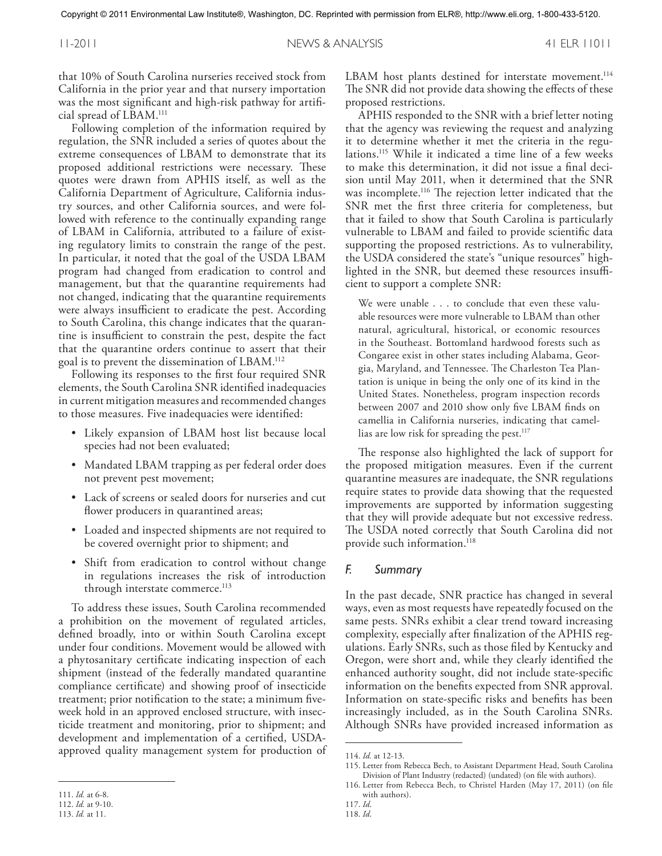that 10% of South Carolina nurseries received stock from California in the prior year and that nursery importation was the most significant and high-risk pathway for artificial spread of LBAM. 111

Following completion of the information required by regulation, the SNR included a series of quotes about the extreme consequences of LBAM to demonstrate that its proposed additional restrictions were necessary. These quotes were drawn from APHIS itself, as well as the California Department of Agriculture, California industry sources, and other California sources, and were followed with reference to the continually expanding range of LBAM in California, attributed to a failure of existing regulatory limits to constrain the range of the pest. In particular, it noted that the goal of the USDA LBAM program had changed from eradication to control and management, but that the quarantine requirements had not changed, indicating that the quarantine requirements were always insufficient to eradicate the pest. According to South Carolina, this change indicates that the quarantine is insufficient to constrain the pest, despite the fact that the quarantine orders continue to assert that their goal is to prevent the dissemination of LBAM. 112

Following its responses to the first four required SNR elements, the South Carolina SNR identified inadequacies in current mitigation measures and recommended changes to those measures. Five inadequacies were identified:

- Likely expansion of LBAM host list because local species had not been evaluated;
- Mandated LBAM trapping as per federal order does not prevent pest movement;
- Lack of screens or sealed doors for nurseries and cut flower producers in quarantined areas;
- Loaded and inspected shipments are not required to be covered overnight prior to shipment; and
- Shift from eradication to control without change in regulations increases the risk of introduction through interstate commerce. 113

To address these issues, South Carolina recommended a prohibition on the movement of regulated articles, defined broadly, into or within South Carolina except under four conditions. Movement would be allowed with a phytosanitary certificate indicating inspection of each shipment (instead of the federally mandated quarantine compliance certificate) and showing proof of insecticide treatment; prior notification to the state; a minimum fiveweek hold in an approved enclosed structure, with insecticide treatment and monitoring, prior to shipment; and development and implementation of a certified, USDAapproved quality management system for production of

LBAM host plants destined for interstate movement.<sup>114</sup> The SNR did not provide data showing the effects of these proposed restrictions.

APHIS responded to the SNR with a brief letter noting that the agency was reviewing the request and analyzing it to determine whether it met the criteria in the regulations. <sup>115</sup> While it indicated a time line of a few weeks to make this determination, it did not issue a final decision until May 2011, when it determined that the SNR was incomplete. <sup>116</sup> The rejection letter indicated that the SNR met the first three criteria for completeness, but that it failed to show that South Carolina is particularly vulnerable to LBAM and failed to provide scientific data supporting the proposed restrictions. As to vulnerability, the USDA considered the state's "unique resources" highlighted in the SNR, but deemed these resources insufficient to support a complete SNR:

We were unable . . . to conclude that even these valuable resources were more vulnerable to LBAM than other natural, agricultural, historical, or economic resources in the Southeast. Bottomland hardwood forests such as Congaree exist in other states including Alabama, Georgia, Maryland, and Tennessee. The Charleston Tea Plantation is unique in being the only one of its kind in the United States. Nonetheless, program inspection records between 2007 and 2010 show only five LBAM finds on camellia in California nurseries, indicating that camellias are low risk for spreading the pest. 117

The response also highlighted the lack of support for the proposed mitigation measures. Even if the current quarantine measures are inadequate, the SNR regulations require states to provide data showing that the requested improvements are supported by information suggesting that they will provide adequate but not excessive redress. The USDA noted correctly that South Carolina did not provide such information. 118

#### *F. Summary*

In the past decade, SNR practice has changed in several ways, even as most requests have repeatedly focused on the same pests. SNRs exhibit a clear trend toward increasing complexity, especially after finalization of the APHIS regulations. Early SNRs, such as those filed by Kentucky and Oregon, were short and, while they clearly identified the enhanced authority sought, did not include state-specific information on the benefits expected from SNR approval. Information on state-specific risks and benefits has been increasingly included, as in the South Carolina SNRs. Although SNRs have provided increased information as

<sup>111.</sup> *Id.* at 6-8.

<sup>112.</sup> *Id.* at 9-10.

<sup>113.</sup> *Id.* at 11.

<sup>114.</sup> *Id.* at 12-13.

<sup>115.</sup> Letter from Rebecca Bech, to Assistant Department Head, South Carolina Division of Plant Industry (redacted) (undated) (on file with authors).

<sup>116.</sup> Letter from Rebecca Bech, to Christel Harden (May 17, 2011) (on file with authors).

<sup>117.</sup> *Id*.

<sup>118.</sup> *Id*.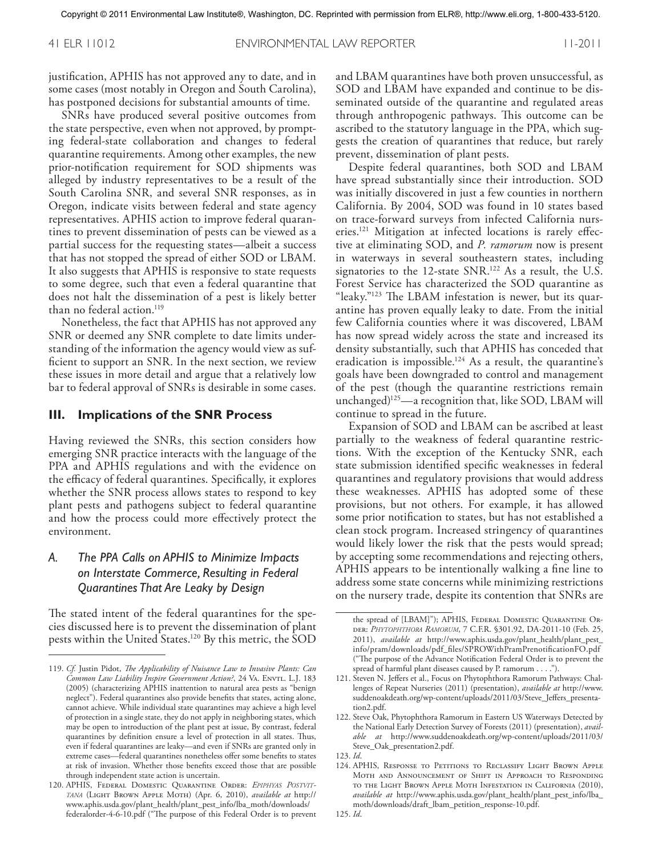justification, APHIS has not approved any to date, and in some cases (most notably in Oregon and South Carolina), has postponed decisions for substantial amounts of time.

SNRs have produced several positive outcomes from the state perspective, even when not approved, by prompting federal-state collaboration and changes to federal quarantine requirements. Among other examples, the new prior-notification requirement for SOD shipments was alleged by industry representatives to be a result of the South Carolina SNR, and several SNR responses, as in Oregon, indicate visits between federal and state agency representatives. APHIS action to improve federal quarantines to prevent dissemination of pests can be viewed as a partial success for the requesting states—albeit a success that has not stopped the spread of either SOD or LBAM. It also suggests that APHIS is responsive to state requests to some degree, such that even a federal quarantine that does not halt the dissemination of a pest is likely better than no federal action. 119

Nonetheless, the fact that APHIS has not approved any SNR or deemed any SNR complete to date limits understanding of the information the agency would view as sufficient to support an SNR. In the next section, we review these issues in more detail and argue that a relatively low bar to federal approval of SNRs is desirable in some cases.

#### **III. Implications of the SNR Process**

Having reviewed the SNRs, this section considers how emerging SNR practice interacts with the language of the PPA and APHIS regulations and with the evidence on the efficacy of federal quarantines. Specifically, it explores whether the SNR process allows states to respond to key plant pests and pathogens subject to federal quarantine and how the process could more effectively protect the environment.

# *A. The PPA Calls on APHIS to Minimize Impacts on Interstate Commerce, Resulting in Federal Quarantines That Are Leaky by Design*

The stated intent of the federal quarantines for the species discussed here is to prevent the dissemination of plant pests within the United States. <sup>120</sup> By this metric, the SOD

and LBAM quarantines have both proven unsuccessful, as SOD and LBAM have expanded and continue to be disseminated outside of the quarantine and regulated areas through anthropogenic pathways. This outcome can be ascribed to the statutory language in the PPA, which suggests the creation of quarantines that reduce, but rarely prevent, dissemination of plant pests.

Despite federal quarantines, both SOD and LBAM have spread substantially since their introduction. SOD was initially discovered in just a few counties in northern California. By 2004, SOD was found in 10 states based on trace-forward surveys from infected California nurseries. <sup>121</sup> Mitigation at infected locations is rarely effective at eliminating SOD, and *P. ramorum* now is present in waterways in several southeastern states, including signatories to the 12-state SNR. <sup>122</sup> As a result, the U.S. Forest Service has characterized the SOD quarantine as "leaky."123 The LBAM infestation is newer, but its quarantine has proven equally leaky to date. From the initial few California counties where it was discovered, LBAM has now spread widely across the state and increased its density substantially, such that APHIS has conceded that eradication is impossible. <sup>124</sup> As a result, the quarantine's goals have been downgraded to control and management of the pest (though the quarantine restrictions remain unchanged)125—a recognition that, like SOD, LBAM will continue to spread in the future.

Expansion of SOD and LBAM can be ascribed at least partially to the weakness of federal quarantine restrictions. With the exception of the Kentucky SNR, each state submission identified specific weaknesses in federal quarantines and regulatory provisions that would address these weaknesses. APHIS has adopted some of these provisions, but not others. For example, it has allowed some prior notification to states, but has not established a clean stock program. Increased stringency of quarantines would likely lower the risk that the pests would spread; by accepting some recommendations and rejecting others, APHIS appears to be intentionally walking a fine line to address some state concerns while minimizing restrictions on the nursery trade, despite its contention that SNRs are

<sup>119.</sup> *Cf.* Justin Pidot, *The Applicability of Nuisance Law to Invasive Plants: Can Common Law Liability Inspire Government Action?*, 24 Va. Envtl. L.J. 183 (2005) (characterizing APHIS inattention to natural area pests as "benign neglect"). Federal quarantines also provide benefits that states, acting alone, cannot achieve. While individual state quarantines may achieve a high level of protection in a single state, they do not apply in neighboring states, which may be open to introduction of the plant pest at issue, By contrast, federal quarantines by definition ensure a level of protection in all states. Thus, even if federal quarantines are leaky—and even if SNRs are granted only in extreme cases—federal quarantines nonetheless offer some benefits to states at risk of invasion. Whether those benefits exceed those that are possible through independent state action is uncertain.

<sup>120.</sup> APHIS, Federal Domestic Quarantine Order: *Epiphyas Postvittana* (Light Brown Apple Moth) (Apr. 6, 2010), *available at* http:// www.aphis.usda.gov/plant\_health/plant\_pest\_info/lba\_moth/downloads/ federalorder-4-6-10.pdf ("The purpose of this Federal Order is to prevent

the spread of [LBAM]"); APHIS, FEDERAL DOMESTIC QUARANTINE ORder: *Phytophthora Ramorum*, 7 C.F.R. §301.92, DA-2011-10 (Feb. 25, 2011), *available at* http://www.aphis.usda.gov/plant\_health/plant\_pest\_ info/pram/downloads/pdf\_files/SPROWithPramPrenotificationFO.pdf ("The purpose of the Advance Notification Federal Order is to prevent the spread of harmful plant diseases caused by P. ramorum ....").

<sup>121.</sup> Steven N. Jeffers et al., Focus on Phytophthora Ramorum Pathways: Challenges of Repeat Nurseries (2011) (presentation), *available at* http://www. suddenoakdeath.org/wp-content/uploads/2011/03/Steve\_Jeffers\_presentation2.pdf.

<sup>122.</sup> Steve Oak, Phytophthora Ramorum in Eastern US Waterways Detected by the National Early Detection Survey of Forests (2011) (presentation), *available at* http://www.suddenoakdeath.org/wp-content/uploads/2011/03/ Steve\_Oak\_presentation2.pdf.

<sup>123.</sup> *Id*.

<sup>124.</sup> APHIS, RESPONSE TO PETITIONS TO RECLASSIFY LIGHT BROWN APPLE Moth and Announcement of Shift in Approach to Responding to the Light Brown Apple Moth Infestation in California (2010), *available at* http://www.aphis.usda.gov/plant\_health/plant\_pest\_info/lba\_ moth/downloads/draft\_lbam\_petition\_response-10.pdf.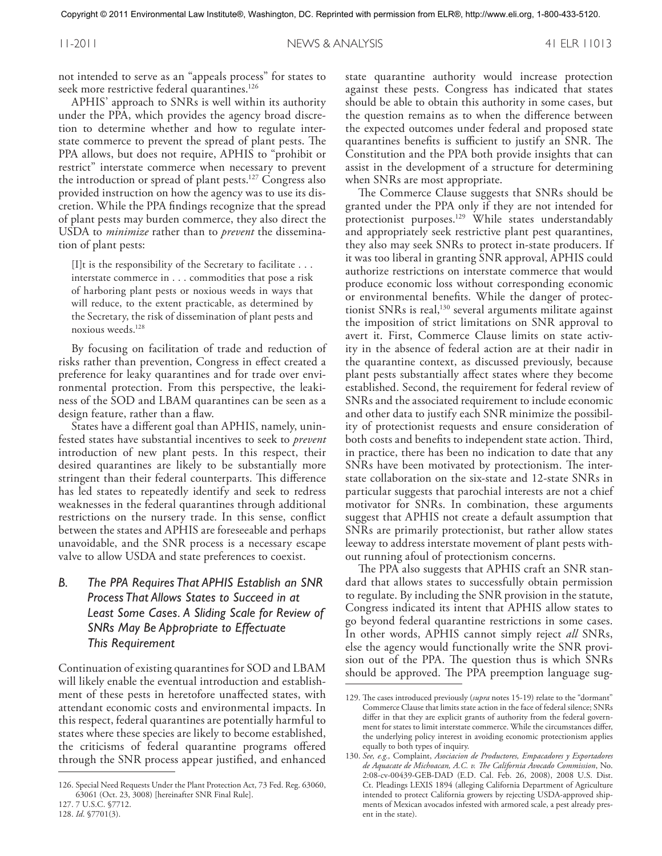not intended to serve as an "appeals process" for states to seek more restrictive federal quarantines. 126

APHIS' approach to SNRs is well within its authority under the PPA, which provides the agency broad discretion to determine whether and how to regulate interstate commerce to prevent the spread of plant pests. The PPA allows, but does not require, APHIS to "prohibit or restrict" interstate commerce when necessary to prevent the introduction or spread of plant pests. <sup>127</sup> Congress also provided instruction on how the agency was to use its discretion. While the PPA findings recognize that the spread of plant pests may burden commerce, they also direct the USDA to *minimize* rather than to *prevent* the dissemination of plant pests:

[I]t is the responsibility of the Secretary to facilitate ... interstate commerce in ... commodities that pose a risk of harboring plant pests or noxious weeds in ways that will reduce, to the extent practicable, as determined by the Secretary, the risk of dissemination of plant pests and noxious weeds. 128

By focusing on facilitation of trade and reduction of risks rather than prevention, Congress in effect created a preference for leaky quarantines and for trade over environmental protection. From this perspective, the leakiness of the SOD and LBAM quarantines can be seen as a design feature, rather than a flaw.

States have a different goal than APHIS, namely, uninfested states have substantial incentives to seek to *prevent* introduction of new plant pests. In this respect, their desired quarantines are likely to be substantially more stringent than their federal counterparts. This difference has led states to repeatedly identify and seek to redress weaknesses in the federal quarantines through additional restrictions on the nursery trade. In this sense, conflict between the states and APHIS are foreseeable and perhaps unavoidable, and the SNR process is a necessary escape valve to allow USDA and state preferences to coexist.

# *B. The PPA Requires That APHIS Establish an SNR Process That Allows States to Succeed in at Least Some Cases. A Sliding Scale for Review of SNRs May Be Appropriate to Effectuate This Requirement*

Continuation of existing quarantines for SOD and LBAM will likely enable the eventual introduction and establishment of these pests in heretofore unaffected states, with attendant economic costs and environmental impacts. In this respect, federal quarantines are potentially harmful to states where these species are likely to become established, the criticisms of federal quarantine programs offered through the SNR process appear justified, and enhanced

127. 7 U.S.C. §7712. 128. *Id*. §7701(3).

state quarantine authority would increase protection against these pests. Congress has indicated that states should be able to obtain this authority in some cases, but the question remains as to when the difference between the expected outcomes under federal and proposed state quarantines benefits is sufficient to justify an SNR. The Constitution and the PPA both provide insights that can assist in the development of a structure for determining when SNRs are most appropriate.

The Commerce Clause suggests that SNRs should be granted under the PPA only if they are not intended for protectionist purposes. <sup>129</sup> While states understandably and appropriately seek restrictive plant pest quarantines, they also may seek SNRs to protect in-state producers. If it was too liberal in granting SNR approval, APHIS could authorize restrictions on interstate commerce that would produce economic loss without corresponding economic or environmental benefits. While the danger of protectionist SNRs is real,<sup>130</sup> several arguments militate against the imposition of strict limitations on SNR approval to avert it. First, Commerce Clause limits on state activity in the absence of federal action are at their nadir in the quarantine context, as discussed previously, because plant pests substantially affect states where they become established. Second, the requirement for federal review of SNRs and the associated requirement to include economic and other data to justify each SNR minimize the possibility of protectionist requests and ensure consideration of both costs and benefits to independent state action. Third, in practice, there has been no indication to date that any SNRs have been motivated by protectionism. The interstate collaboration on the six-state and 12-state SNRs in particular suggests that parochial interests are not a chief motivator for SNRs. In combination, these arguments suggest that APHIS not create a default assumption that SNRs are primarily protectionist, but rather allow states leeway to address interstate movement of plant pests without running afoul of protectionism concerns.

The PPA also suggests that APHIS craft an SNR standard that allows states to successfully obtain permission to regulate. By including the SNR provision in the statute, Congress indicated its intent that APHIS allow states to go beyond federal quarantine restrictions in some cases. In other words, APHIS cannot simply reject *all* SNRs, else the agency would functionally write the SNR provision out of the PPA. The question thus is which SNRs should be approved. The PPA preemption language sug-

<sup>126.</sup> Special Need Requests Under the Plant Protection Act, 73 Fed. Reg. 63060, 63061 (Oct. 23, 3008) [hereinafter SNR Final Rule].

<sup>129.</sup> The cases introduced previously (*supra* notes 15-19) relate to the "dormant" Commerce Clause that limits state action in the face of federal silence; SNRs differ in that they are explicit grants of authority from the federal government for states to limit interstate commerce. While the circumstances differ, the underlying policy interest in avoiding economic protectionism applies equally to both types of inquiry.

<sup>130.</sup> *See, e.g.,* Complaint, *Asociacion de Productores, Empacadores y Exportadores de Aquacate de Michoacan, A.C. v. The California Avocado Commission*, No. 2:08-cv-00439-GEB-DAD (E.D. Cal. Feb. 26, 2008), 2008 U.S. Dist. Ct. Pleadings LEXIS 1894 (alleging California Department of Agriculture intended to protect California growers by rejecting USDA-approved shipments of Mexican avocados infested with armored scale, a pest already present in the state).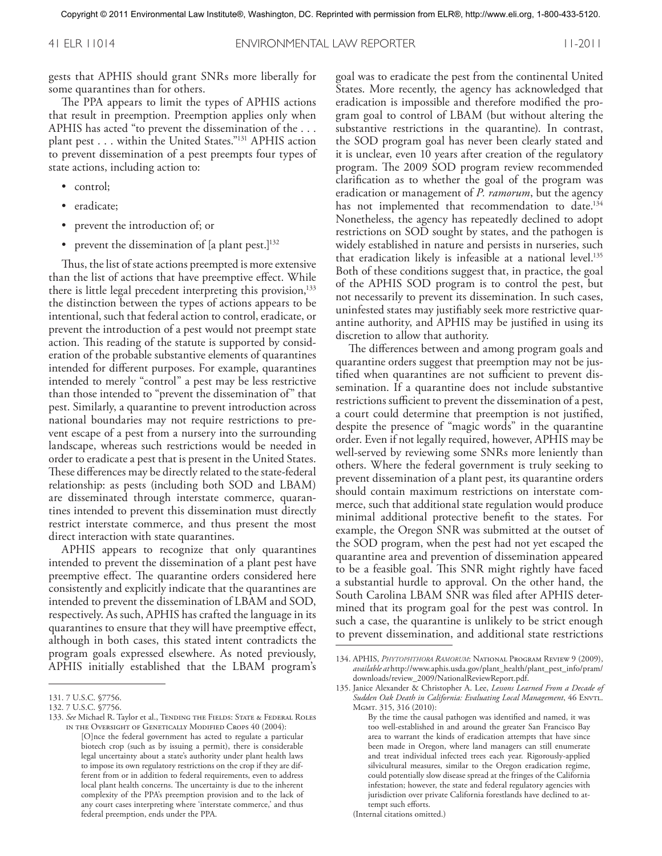gests that APHIS should grant SNRs more liberally for some quarantines than for others.

The PPA appears to limit the types of APHIS actions that result in preemption. Preemption applies only when APHIS has acted "to prevent the dissemination of the ... plant pest ... within the United States."131 APHIS action to prevent dissemination of a pest preempts four types of state actions, including action to:

- control;
- eradicate;
- prevent the introduction of; or
- prevent the dissemination of [a plant pest.]<sup>132</sup>

Thus, the list of state actions preempted is more extensive than the list of actions that have preemptive effect. While there is little legal precedent interpreting this provision,<sup>133</sup> the distinction between the types of actions appears to be intentional, such that federal action to control, eradicate, or prevent the introduction of a pest would not preempt state action. This reading of the statute is supported by consideration of the probable substantive elements of quarantines intended for different purposes. For example, quarantines intended to merely "control" a pest may be less restrictive than those intended to "prevent the dissemination of" that pest. Similarly, a quarantine to prevent introduction across national boundaries may not require restrictions to prevent escape of a pest from a nursery into the surrounding landscape, whereas such restrictions would be needed in order to eradicate a pest that is present in the United States. These differences may be directly related to the state-federal relationship: as pests (including both SOD and LBAM) are disseminated through interstate commerce, quarantines intended to prevent this dissemination must directly restrict interstate commerce, and thus present the most direct interaction with state quarantines.

APHIS appears to recognize that only quarantines intended to prevent the dissemination of a plant pest have preemptive effect. The quarantine orders considered here consistently and explicitly indicate that the quarantines are intended to prevent the dissemination of LBAM and SOD, respectively. As such, APHIS has crafted the language in its quarantines to ensure that they will have preemptive effect, although in both cases, this stated intent contradicts the program goals expressed elsewhere. As noted previously, APHIS initially established that the LBAM program's

goal was to eradicate the pest from the continental United States. More recently, the agency has acknowledged that eradication is impossible and therefore modified the program goal to control of LBAM (but without altering the substantive restrictions in the quarantine). In contrast, the SOD program goal has never been clearly stated and it is unclear, even 10 years after creation of the regulatory program. The 2009 SOD program review recommended clarification as to whether the goal of the program was eradication or management of *P. ramorum*, but the agency has not implemented that recommendation to date. 134 Nonetheless, the agency has repeatedly declined to adopt restrictions on SOD sought by states, and the pathogen is widely established in nature and persists in nurseries, such that eradication likely is infeasible at a national level. 135 Both of these conditions suggest that, in practice, the goal of the APHIS SOD program is to control the pest, but not necessarily to prevent its dissemination. In such cases, uninfested states may justifiably seek more restrictive quarantine authority, and APHIS may be justified in using its discretion to allow that authority.

The differences between and among program goals and quarantine orders suggest that preemption may not be justified when quarantines are not sufficient to prevent dissemination. If a quarantine does not include substantive restrictions sufficient to prevent the dissemination of a pest, a court could determine that preemption is not justified, despite the presence of "magic words" in the quarantine order. Even if not legally required, however, APHIS may be well-served by reviewing some SNRs more leniently than others. Where the federal government is truly seeking to prevent dissemination of a plant pest, its quarantine orders should contain maximum restrictions on interstate commerce, such that additional state regulation would produce minimal additional protective benefit to the states. For example, the Oregon SNR was submitted at the outset of the SOD program, when the pest had not yet escaped the quarantine area and prevention of dissemination appeared to be a feasible goal. This SNR might rightly have faced a substantial hurdle to approval. On the other hand, the South Carolina LBAM SNR was filed after APHIS determined that its program goal for the pest was control. In such a case, the quarantine is unlikely to be strict enough to prevent dissemination, and additional state restrictions

(Internal citations omitted.)

<sup>131.</sup> 7 U.S.C. §7756.

<sup>132.</sup> 7 U.S.C. §7756.

<sup>133.</sup> See Michael R. Taylor et al., TENDING THE FIELDS: STATE & FEDERAL ROLES in the Oversight of Genetically Modified Crops 40 (2004):

<sup>[</sup>O]nce the federal government has acted to regulate a particular biotech crop (such as by issuing a permit), there is considerable legal uncertainty about a state's authority under plant health laws to impose its own regulatory restrictions on the crop if they are different from or in addition to federal requirements, even to address local plant health concerns. The uncertainty is due to the inherent complexity of the PPA's preemption provision and to the lack of any court cases interpreting where 'interstate commerce,' and thus federal preemption, ends under the PPA.

<sup>134.</sup> APHIS, *Phytophthora Ramorum*: National Program Review 9 (2009), *available at* http://www.aphis.usda.gov/plant\_health/plant\_pest\_info/pram/ downloads/review\_2009/NationalReviewReport.pdf.

<sup>135.</sup> Janice Alexander & Christopher A. Lee, *Lessons Learned From a Decade of Sudden Oak Death in California: Evaluating Local Management*, 46 Envtl. Mgmt. 315, 316 (2010):

By the time the causal pathogen was identified and named, it was too well-established in and around the greater San Francisco Bay area to warrant the kinds of eradication attempts that have since been made in Oregon, where land managers can still enumerate and treat individual infected trees each year. Rigorously-applied silvicultural measures, similar to the Oregon eradication regime, could potentially slow disease spread at the fringes of the California infestation; however, the state and federal regulatory agencies with jurisdiction over private California forestlands have declined to attempt such efforts.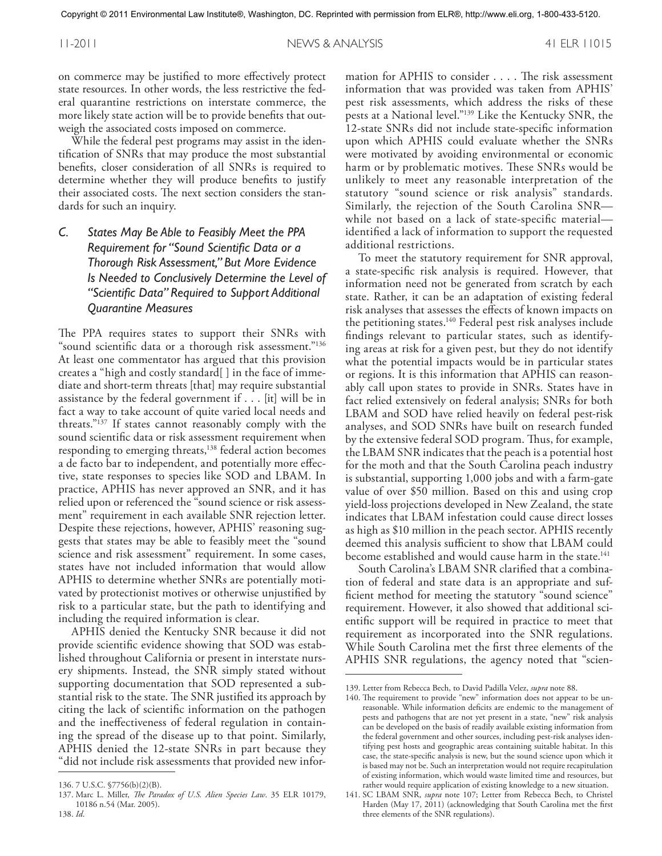on commerce may be justified to more effectively protect state resources. In other words, the less restrictive the federal quarantine restrictions on interstate commerce, the more likely state action will be to provide benefits that outweigh the associated costs imposed on commerce.

While the federal pest programs may assist in the identification of SNRs that may produce the most substantial benefits, closer consideration of all SNRs is required to determine whether they will produce benefits to justify their associated costs. The next section considers the standards for such an inquiry.

*C. States May Be Able to Feasibly Meet the PPA Requirement for "Sound Scientific Data or a Thorough Risk Assessment," But More Evidence Is Needed to Conclusively Determine the Level of "Scientific Data" Required to Support Additional Quarantine Measures*

The PPA requires states to support their SNRs with "sound scientific data or a thorough risk assessment."<sup>136</sup> At least one commentator has argued that this provision creates a "high and costly standard[ ] in the face of immediate and short-term threats [that] may require substantial assistance by the federal government if ... [it] will be in fact a way to take account of quite varied local needs and threats."137 If states cannot reasonably comply with the sound scientific data or risk assessment requirement when responding to emerging threats,<sup>138</sup> federal action becomes a de facto bar to independent, and potentially more effective, state responses to species like SOD and LBAM. In practice, APHIS has never approved an SNR, and it has relied upon or referenced the "sound science or risk assessment" requirement in each available SNR rejection letter. Despite these rejections, however, APHIS' reasoning suggests that states may be able to feasibly meet the "sound science and risk assessment" requirement. In some cases, states have not included information that would allow APHIS to determine whether SNRs are potentially motivated by protectionist motives or otherwise unjustified by risk to a particular state, but the path to identifying and including the required information is clear.

APHIS denied the Kentucky SNR because it did not provide scientific evidence showing that SOD was established throughout California or present in interstate nursery shipments. Instead, the SNR simply stated without supporting documentation that SOD represented a substantial risk to the state. The SNR justified its approach by citing the lack of scientific information on the pathogen and the ineffectiveness of federal regulation in containing the spread of the disease up to that point. Similarly, APHIS denied the 12-state SNRs in part because they "did not include risk assessments that provided new infor-

mation for APHIS to consider .... The risk assessment information that was provided was taken from APHIS' pest risk assessments, which address the risks of these pests at a National level."139 Like the Kentucky SNR, the 12-state SNRs did not include state-specific information upon which APHIS could evaluate whether the SNRs were motivated by avoiding environmental or economic harm or by problematic motives. These SNRs would be unlikely to meet any reasonable interpretation of the statutory "sound science or risk analysis" standards. Similarly, the rejection of the South Carolina SNR while not based on a lack of state-specific material identified a lack of information to support the requested additional restrictions.

To meet the statutory requirement for SNR approval, a state-specific risk analysis is required. However, that information need not be generated from scratch by each state. Rather, it can be an adaptation of existing federal risk analyses that assesses the effects of known impacts on the petitioning states. <sup>140</sup> Federal pest risk analyses include findings relevant to particular states, such as identifying areas at risk for a given pest, but they do not identify what the potential impacts would be in particular states or regions. It is this information that APHIS can reasonably call upon states to provide in SNRs. States have in fact relied extensively on federal analysis; SNRs for both LBAM and SOD have relied heavily on federal pest-risk analyses, and SOD SNRs have built on research funded by the extensive federal SOD program. Thus, for example, the LBAM SNR indicates that the peach is a potential host for the moth and that the South Carolina peach industry is substantial, supporting 1,000 jobs and with a farm-gate value of over \$50 million. Based on this and using crop yield-loss projections developed in New Zealand, the state indicates that LBAM infestation could cause direct losses as high as \$10 million in the peach sector. APHIS recently deemed this analysis sufficient to show that LBAM could become established and would cause harm in the state. 141

South Carolina's LBAM SNR clarified that a combination of federal and state data is an appropriate and sufficient method for meeting the statutory "sound science" requirement. However, it also showed that additional scientific support will be required in practice to meet that requirement as incorporated into the SNR regulations. While South Carolina met the first three elements of the APHIS SNR regulations, the agency noted that "scien-

<sup>136.</sup> 7 U.S.C. §7756(b)(2)(B).

<sup>137.</sup> Marc L. Miller, *The Paradox of U.S. Alien Species Law*. 35 ELR 10179, 10186 n.54 (Mar. 2005). 138. *Id*.

<sup>139.</sup> Letter from Rebecca Bech, to David Padilla Velez, *supra* note 88.

<sup>140.</sup> The requirement to provide "new" information does not appear to be unreasonable. While information deficits are endemic to the management of pests and pathogens that are not yet present in a state, "new" risk analysis can be developed on the basis of readily available existing information from the federal government and other sources, including pest-risk analyses identifying pest hosts and geographic areas containing suitable habitat. In this case, the state-specific analysis is new, but the sound science upon which it is based may not be. Such an interpretation would not require recapitulation of existing information, which would waste limited time and resources, but rather would require application of existing knowledge to a new situation.

<sup>141.</sup> SC LBAM SNR, *supra* note 107; Letter from Rebecca Bech, to Christel Harden (May 17, 2011) (acknowledging that South Carolina met the first three elements of the SNR regulations).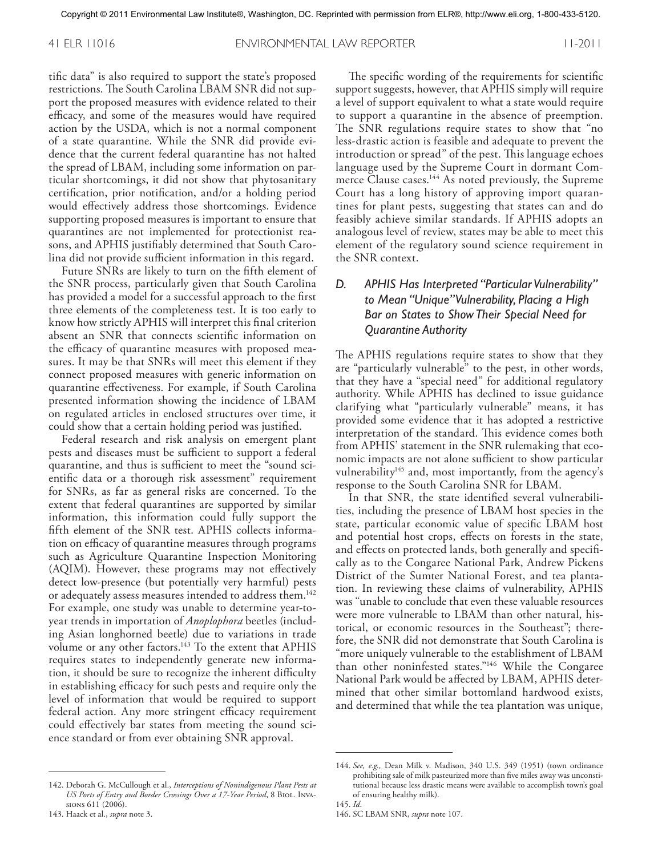41 ELR 11016 ENVIRONMENTAL LAW REPORTER 11-2011

tific data" is also required to support the state's proposed restrictions. The South Carolina LBAM SNR did not support the proposed measures with evidence related to their efficacy, and some of the measures would have required action by the USDA, which is not a normal component of a state quarantine. While the SNR did provide evidence that the current federal quarantine has not halted the spread of LBAM, including some information on particular shortcomings, it did not show that phytosanitary certification, prior notification, and/or a holding period would effectively address those shortcomings. Evidence supporting proposed measures is important to ensure that quarantines are not implemented for protectionist reasons, and APHIS justifiably determined that South Carolina did not provide sufficient information in this regard.

Future SNRs are likely to turn on the fifth element of the SNR process, particularly given that South Carolina has provided a model for a successful approach to the first three elements of the completeness test. It is too early to know how strictly APHIS will interpret this final criterion absent an SNR that connects scientific information on the efficacy of quarantine measures with proposed measures. It may be that SNRs will meet this element if they connect proposed measures with generic information on quarantine effectiveness. For example, if South Carolina presented information showing the incidence of LBAM on regulated articles in enclosed structures over time, it could show that a certain holding period was justified.

Federal research and risk analysis on emergent plant pests and diseases must be sufficient to support a federal quarantine, and thus is sufficient to meet the "sound scientific data or a thorough risk assessment" requirement for SNRs, as far as general risks are concerned. To the extent that federal quarantines are supported by similar information, this information could fully support the fifth element of the SNR test. APHIS collects information on efficacy of quarantine measures through programs such as Agriculture Quarantine Inspection Monitoring (AQIM). However, these programs may not effectively detect low-presence (but potentially very harmful) pests or adequately assess measures intended to address them. 142 For example, one study was unable to determine year-toyear trends in importation of *Anoplophora* beetles (including Asian longhorned beetle) due to variations in trade volume or any other factors. <sup>143</sup> To the extent that APHIS requires states to independently generate new information, it should be sure to recognize the inherent difficulty in establishing efficacy for such pests and require only the level of information that would be required to support federal action. Any more stringent efficacy requirement could effectively bar states from meeting the sound science standard or from ever obtaining SNR approval.

The specific wording of the requirements for scientific support suggests, however, that APHIS simply will require a level of support equivalent to what a state would require to support a quarantine in the absence of preemption. The SNR regulations require states to show that "no less-drastic action is feasible and adequate to prevent the introduction or spread" of the pest. This language echoes language used by the Supreme Court in dormant Commerce Clause cases. <sup>144</sup> As noted previously, the Supreme Court has a long history of approving import quarantines for plant pests, suggesting that states can and do feasibly achieve similar standards. If APHIS adopts an analogous level of review, states may be able to meet this element of the regulatory sound science requirement in the SNR context.

# *D. APHIS Has Interpreted "Particular Vulnerability" to Mean "Unique"Vulnerability, Placing a High Bar on States to ShowTheir Special Need for Quarantine Authority*

The APHIS regulations require states to show that they are "particularly vulnerable" to the pest, in other words, that they have a "special need" for additional regulatory authority. While APHIS has declined to issue guidance clarifying what "particularly vulnerable" means, it has provided some evidence that it has adopted a restrictive interpretation of the standard. This evidence comes both from APHIS' statement in the SNR rulemaking that economic impacts are not alone sufficient to show particular vulnerability<sup>145</sup> and, most importantly, from the agency's response to the South Carolina SNR for LBAM.

In that SNR, the state identified several vulnerabilities, including the presence of LBAM host species in the state, particular economic value of specific LBAM host and potential host crops, effects on forests in the state, and effects on protected lands, both generally and specifically as to the Congaree National Park, Andrew Pickens District of the Sumter National Forest, and tea plantation. In reviewing these claims of vulnerability, APHIS was "unable to conclude that even these valuable resources were more vulnerable to LBAM than other natural, historical, or economic resources in the Southeast"; therefore, the SNR did not demonstrate that South Carolina is "more uniquely vulnerable to the establishment of LBAM than other noninfested states."146 While the Congaree National Park would be affected by LBAM, APHIS determined that other similar bottomland hardwood exists, and determined that while the tea plantation was unique,

<sup>142.</sup> Deborah G. McCullough et al., *Interceptions of Nonindigenous Plant Pests at US Ports of Entry and Border Crossings Over a 17-Year Period*, 8 Biol. Invasions 611 (2006).

<sup>143.</sup> Haack et al., *supra* note 3.

<sup>144.</sup> *See, e.g.,* Dean Milk v. Madison, 340 U.S. 349 (1951) (town ordinance prohibiting sale of milk pasteurized more than five miles away was unconstitutional because less drastic means were available to accomplish town's goal of ensuring healthy milk). 145. *Id*.

<sup>146.</sup> SC LBAM SNR, *supra* note 107.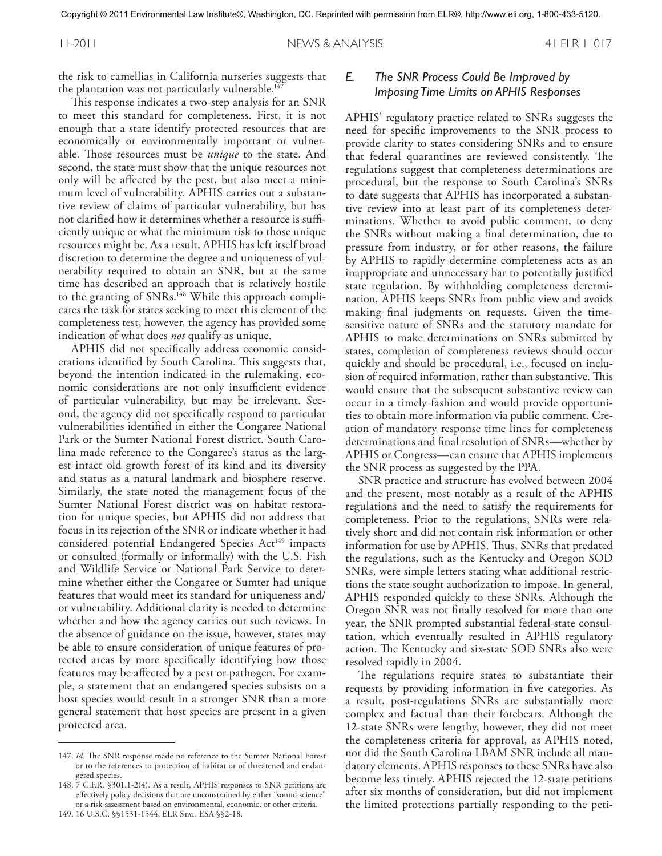the risk to camellias in California nurseries suggests that the plantation was not particularly vulnerable.<sup>147</sup>

This response indicates a two-step analysis for an SNR to meet this standard for completeness. First, it is not enough that a state identify protected resources that are economically or environmentally important or vulnerable. Those resources must be *unique* to the state. And second, the state must show that the unique resources not only will be affected by the pest, but also meet a minimum level of vulnerability. APHIS carries out a substantive review of claims of particular vulnerability, but has not clarified how it determines whether a resource is sufficiently unique or what the minimum risk to those unique resources might be. As a result, APHIS has left itself broad discretion to determine the degree and uniqueness of vulnerability required to obtain an SNR, but at the same time has described an approach that is relatively hostile to the granting of SNRs. <sup>148</sup> While this approach complicates the task for states seeking to meet this element of the completeness test, however, the agency has provided some indication of what does *not* qualify as unique.

APHIS did not specifically address economic considerations identified by South Carolina. This suggests that, beyond the intention indicated in the rulemaking, economic considerations are not only insufficient evidence of particular vulnerability, but may be irrelevant. Second, the agency did not specifically respond to particular vulnerabilities identified in either the Congaree National Park or the Sumter National Forest district. South Carolina made reference to the Congaree's status as the largest intact old growth forest of its kind and its diversity and status as a natural landmark and biosphere reserve. Similarly, the state noted the management focus of the Sumter National Forest district was on habitat restoration for unique species, but APHIS did not address that focus in its rejection of the SNR or indicate whether it had considered potential Endangered Species Act<sup>149</sup> impacts or consulted (formally or informally) with the U.S. Fish and Wildlife Service or National Park Service to determine whether either the Congaree or Sumter had unique features that would meet its standard for uniqueness and/ or vulnerability. Additional clarity is needed to determine whether and how the agency carries out such reviews. In the absence of guidance on the issue, however, states may be able to ensure consideration of unique features of protected areas by more specifically identifying how those features may be affected by a pest or pathogen. For example, a statement that an endangered species subsists on a host species would result in a stronger SNR than a more general statement that host species are present in a given protected area.

### *E. The SNR Process Could Be Improved by Imposing Time Limits on APHIS Responses*

APHIS' regulatory practice related to SNRs suggests the need for specific improvements to the SNR process to provide clarity to states considering SNRs and to ensure that federal quarantines are reviewed consistently. The regulations suggest that completeness determinations are procedural, but the response to South Carolina's SNRs to date suggests that APHIS has incorporated a substantive review into at least part of its completeness determinations. Whether to avoid public comment, to deny the SNRs without making a final determination, due to pressure from industry, or for other reasons, the failure by APHIS to rapidly determine completeness acts as an inappropriate and unnecessary bar to potentially justified state regulation. By withholding completeness determination, APHIS keeps SNRs from public view and avoids making final judgments on requests. Given the timesensitive nature of SNRs and the statutory mandate for APHIS to make determinations on SNRs submitted by states, completion of completeness reviews should occur quickly and should be procedural, i.e., focused on inclusion of required information, rather than substantive. This would ensure that the subsequent substantive review can occur in a timely fashion and would provide opportunities to obtain more information via public comment. Creation of mandatory response time lines for completeness determinations and final resolution of SNRs—whether by APHIS or Congress—can ensure that APHIS implements the SNR process as suggested by the PPA.

SNR practice and structure has evolved between 2004 and the present, most notably as a result of the APHIS regulations and the need to satisfy the requirements for completeness. Prior to the regulations, SNRs were relatively short and did not contain risk information or other information for use by APHIS. Thus, SNRs that predated the regulations, such as the Kentucky and Oregon SOD SNRs, were simple letters stating what additional restrictions the state sought authorization to impose. In general, APHIS responded quickly to these SNRs. Although the Oregon SNR was not finally resolved for more than one year, the SNR prompted substantial federal-state consultation, which eventually resulted in APHIS regulatory action. The Kentucky and six-state SOD SNRs also were resolved rapidly in 2004.

The regulations require states to substantiate their requests by providing information in five categories. As a result, post-regulations SNRs are substantially more complex and factual than their forebears. Although the 12-state SNRs were lengthy, however, they did not meet the completeness criteria for approval, as APHIS noted, nor did the South Carolina LBAM SNR include all mandatory elements. APHIS responses to these SNRs have also become less timely. APHIS rejected the 12-state petitions after six months of consideration, but did not implement the limited protections partially responding to the peti-

<sup>147.</sup> *Id*. The SNR response made no reference to the Sumter National Forest or to the references to protection of habitat or of threatened and endangered species.

<sup>148.</sup> 7 C.F.R. §301.1-2(4). As a result, APHIS responses to SNR petitions are effectively policy decisions that are unconstrained by either "sound science" or a risk assessment based on environmental, economic, or other criteria.

<sup>149.</sup> 16 U.S.C. §§1531-1544, ELR Stat. ESA §§2-18.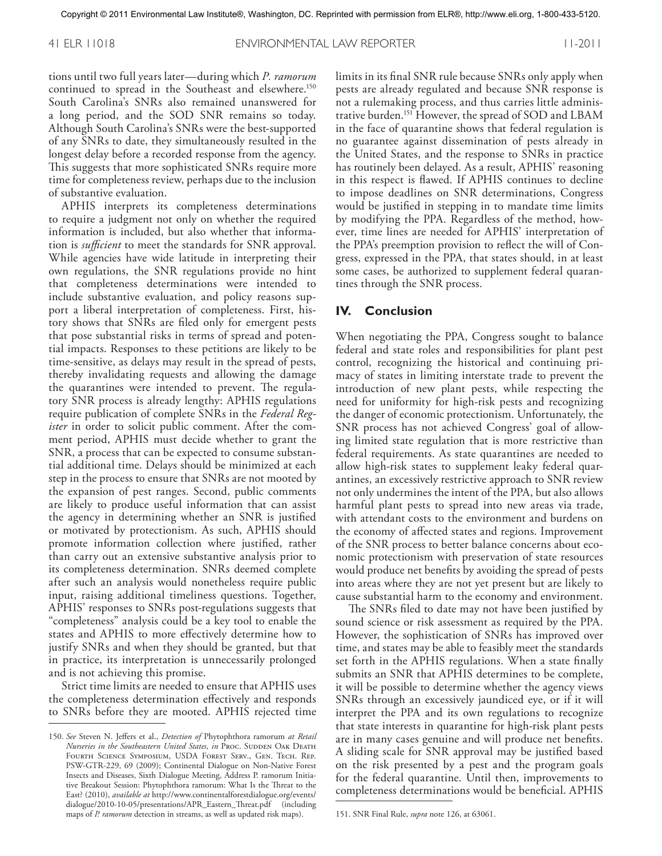tions until two full years later—during which *P. ramorum* continued to spread in the Southeast and elsewhere. 150 South Carolina's SNRs also remained unanswered for a long period, and the SOD SNR remains so today. Although South Carolina's SNRs were the best-supported of any SNRs to date, they simultaneously resulted in the longest delay before a recorded response from the agency. This suggests that more sophisticated SNRs require more time for completeness review, perhaps due to the inclusion of substantive evaluation.

APHIS interprets its completeness determinations to require a judgment not only on whether the required information is included, but also whether that information is *sufficient* to meet the standards for SNR approval. While agencies have wide latitude in interpreting their own regulations, the SNR regulations provide no hint that completeness determinations were intended to include substantive evaluation, and policy reasons support a liberal interpretation of completeness. First, history shows that SNRs are filed only for emergent pests that pose substantial risks in terms of spread and potential impacts. Responses to these petitions are likely to be time-sensitive, as delays may result in the spread of pests, thereby invalidating requests and allowing the damage the quarantines were intended to prevent. The regulatory SNR process is already lengthy: APHIS regulations require publication of complete SNRs in the *Federal Register* in order to solicit public comment. After the comment period, APHIS must decide whether to grant the SNR, a process that can be expected to consume substantial additional time. Delays should be minimized at each step in the process to ensure that SNRs are not mooted by the expansion of pest ranges. Second, public comments are likely to produce useful information that can assist the agency in determining whether an SNR is justified or motivated by protectionism. As such, APHIS should promote information collection where justified, rather than carry out an extensive substantive analysis prior to its completeness determination. SNRs deemed complete after such an analysis would nonetheless require public input, raising additional timeliness questions. Together, APHIS' responses to SNRs post-regulations suggests that "completeness" analysis could be a key tool to enable the states and APHIS to more effectively determine how to justify SNRs and when they should be granted, but that in practice, its interpretation is unnecessarily prolonged and is not achieving this promise.

Strict time limits are needed to ensure that APHIS uses the completeness determination effectively and responds to SNRs before they are mooted. APHIS rejected time limits in its final SNR rule because SNRs only apply when pests are already regulated and because SNR response is not a rulemaking process, and thus carries little administrative burden. <sup>151</sup> However, the spread of SOD and LBAM in the face of quarantine shows that federal regulation is no guarantee against dissemination of pests already in the United States, and the response to SNRs in practice has routinely been delayed. As a result, APHIS' reasoning in this respect is flawed. If APHIS continues to decline to impose deadlines on SNR determinations, Congress would be justified in stepping in to mandate time limits by modifying the PPA. Regardless of the method, however, time lines are needed for APHIS' interpretation of the PPA's preemption provision to reflect the will of Congress, expressed in the PPA, that states should, in at least some cases, be authorized to supplement federal quarantines through the SNR process.

#### **IV. Conclusion**

When negotiating the PPA, Congress sought to balance federal and state roles and responsibilities for plant pest control, recognizing the historical and continuing primacy of states in limiting interstate trade to prevent the introduction of new plant pests, while respecting the need for uniformity for high-risk pests and recognizing the danger of economic protectionism. Unfortunately, the SNR process has not achieved Congress' goal of allowing limited state regulation that is more restrictive than federal requirements. As state quarantines are needed to allow high-risk states to supplement leaky federal quarantines, an excessively restrictive approach to SNR review not only undermines the intent of the PPA, but also allows harmful plant pests to spread into new areas via trade, with attendant costs to the environment and burdens on the economy of affected states and regions. Improvement of the SNR process to better balance concerns about economic protectionism with preservation of state resources would produce net benefits by avoiding the spread of pests into areas where they are not yet present but are likely to cause substantial harm to the economy and environment.

The SNRs filed to date may not have been justified by sound science or risk assessment as required by the PPA. However, the sophistication of SNRs has improved over time, and states may be able to feasibly meet the standards set forth in the APHIS regulations. When a state finally submits an SNR that APHIS determines to be complete, it will be possible to determine whether the agency views SNRs through an excessively jaundiced eye, or if it will interpret the PPA and its own regulations to recognize that state interests in quarantine for high-risk plant pests are in many cases genuine and will produce net benefits. A sliding scale for SNR approval may be justified based on the risk presented by a pest and the program goals for the federal quarantine. Until then, improvements to completeness determinations would be beneficial. APHIS

<sup>150.</sup> *See* Steven N. Jeffers et al., *Detection of* Phytophthora ramorum *at Retail Nurseries in the Southeastern United States, in PROC. SUDDEN OAK DEATH* Fourth Science Symposium, USDA Forest Serv., Gen. Tech. Rep. PSW-GTR-229, 69 (2009); Continental Dialogue on Non-Native Forest Insects and Diseases, Sixth Dialogue Meeting, Address P. ramorum Initiative Breakout Session: Phytophthora ramorum: What Is the Threat to the East? (2010), *available at* http://www.continentalforestdialogue.org/events/ dialogue/2010-10-05/presentations/APR\_Eastern\_Threat.pdf (including maps of *P. ramorum* detection in streams, as well as updated risk maps).

<sup>151.</sup> SNR Final Rule, *supra* note 126, at 63061.